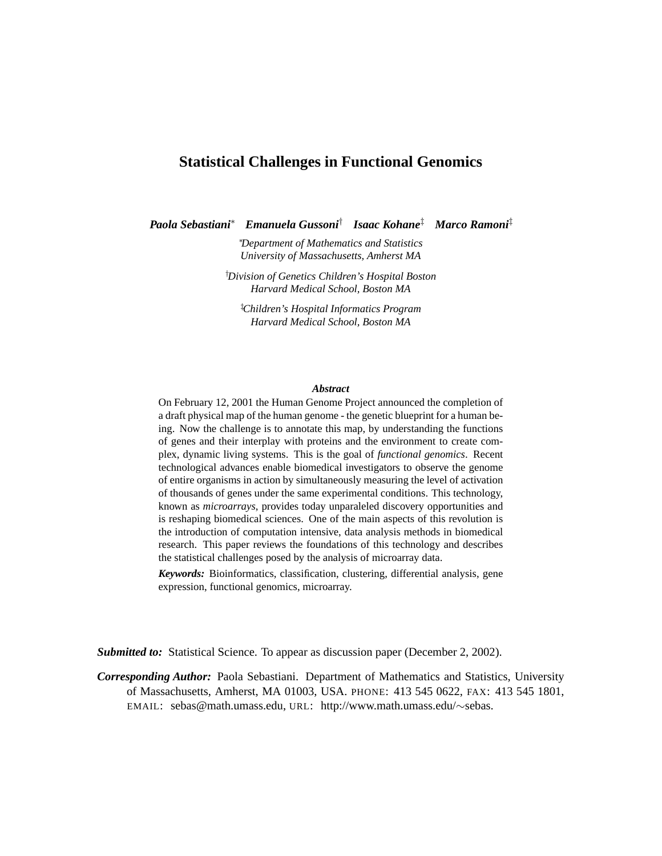# **Statistical Challenges in Functional Genomics**

*Paola Sebastiani*<sup>∗</sup> *Emanuela Gussoni*† *Isaac Kohane*‡ *Marco Ramoni*‡

> <sup>∗</sup>*Department of Mathematics and Statistics University of Massachusetts, Amherst MA*

†*Division of Genetics Children's Hospital Boston Harvard Medical School, Boston MA*

‡*Children's Hospital Informatics Program Harvard Medical School, Boston MA*

#### *Abstract*

On February 12, 2001 the Human Genome Project announced the completion of a draft physical map of the human genome - the genetic blueprint for a human being. Now the challenge is to annotate this map, by understanding the functions of genes and their interplay with proteins and the environment to create complex, dynamic living systems. This is the goal of *functional genomics*. Recent technological advances enable biomedical investigators to observe the genome of entire organisms in action by simultaneously measuring the level of activation of thousands of genes under the same experimental conditions. This technology, known as *microarrays*, provides today unparaleled discovery opportunities and is reshaping biomedical sciences. One of the main aspects of this revolution is the introduction of computation intensive, data analysis methods in biomedical research. This paper reviews the foundations of this technology and describes the statistical challenges posed by the analysis of microarray data.

*Keywords:* Bioinformatics, classification, clustering, differential analysis, gene expression, functional genomics, microarray.

*Submitted to:* Statistical Science. To appear as discussion paper (December 2, 2002).

*Corresponding Author:* Paola Sebastiani. Department of Mathematics and Statistics, University of Massachusetts, Amherst, MA 01003, USA. PHONE: 413 545 0622, FAX: 413 545 1801, EMAIL: sebas@math.umass.edu, URL: http://www.math.umass.edu/∼sebas.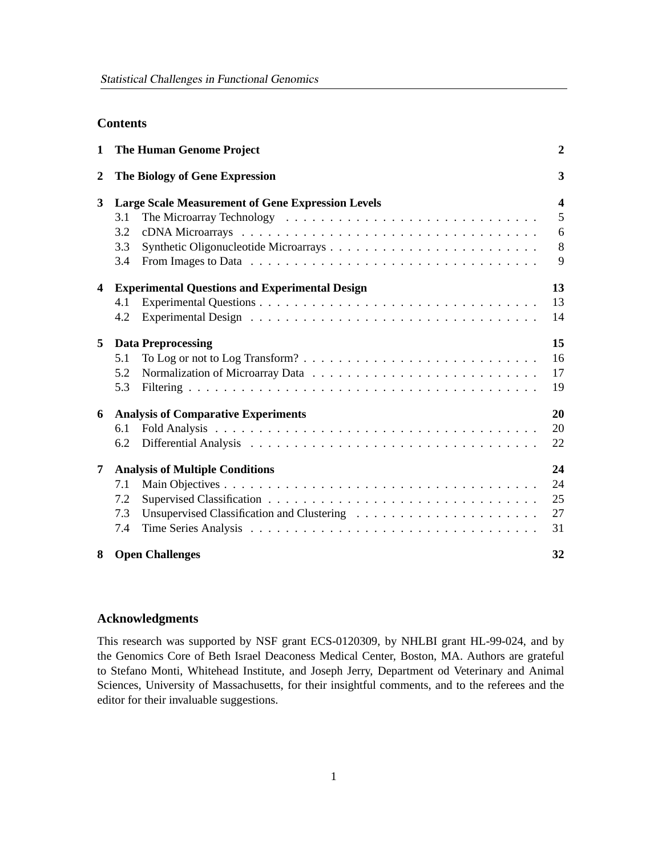# **Contents**

| 1                       | The Human Genome Project                                                                                   | $\overline{2}$             |
|-------------------------|------------------------------------------------------------------------------------------------------------|----------------------------|
| 2                       | The Biology of Gene Expression                                                                             | 3                          |
| 3                       | <b>Large Scale Measurement of Gene Expression Levels</b>                                                   | $\boldsymbol{\mathcal{L}}$ |
|                         | The Microarray Technology $\dots \dots \dots \dots \dots \dots \dots \dots \dots \dots \dots \dots$<br>3.1 | 5                          |
|                         | 3.2                                                                                                        | 6                          |
|                         | 3.3                                                                                                        | 8                          |
|                         | 3.4                                                                                                        | 9                          |
| $\overline{\mathbf{4}}$ | <b>Experimental Questions and Experimental Design</b>                                                      | 13                         |
|                         | 4.1                                                                                                        | 13                         |
|                         | 4.2                                                                                                        | 14                         |
| 5                       | <b>Data Preprocessing</b>                                                                                  | 15                         |
|                         | 5.1                                                                                                        | 16                         |
|                         | 5.2                                                                                                        | 17                         |
|                         | 5.3                                                                                                        | 19                         |
| 6                       | <b>Analysis of Comparative Experiments</b>                                                                 | 20                         |
|                         | 6.1                                                                                                        | 20                         |
|                         | 6.2                                                                                                        | 22                         |
| 7                       | <b>Analysis of Multiple Conditions</b>                                                                     | 24                         |
|                         | 7.1                                                                                                        | 24                         |
|                         | 7.2                                                                                                        | 25                         |
|                         | 7.3                                                                                                        | 27                         |
|                         | 7.4                                                                                                        | 31                         |
| 8                       | <b>Open Challenges</b>                                                                                     | 32                         |
|                         |                                                                                                            |                            |

# **Acknowledgments**

This research was supported by NSF grant ECS-0120309, by NHLBI grant HL-99-024, and by the Genomics Core of Beth Israel Deaconess Medical Center, Boston, MA. Authors are grateful to Stefano Monti, Whitehead Institute, and Joseph Jerry, Department od Veterinary and Animal Sciences, University of Massachusetts, for their insightful comments, and to the referees and the editor for their invaluable suggestions.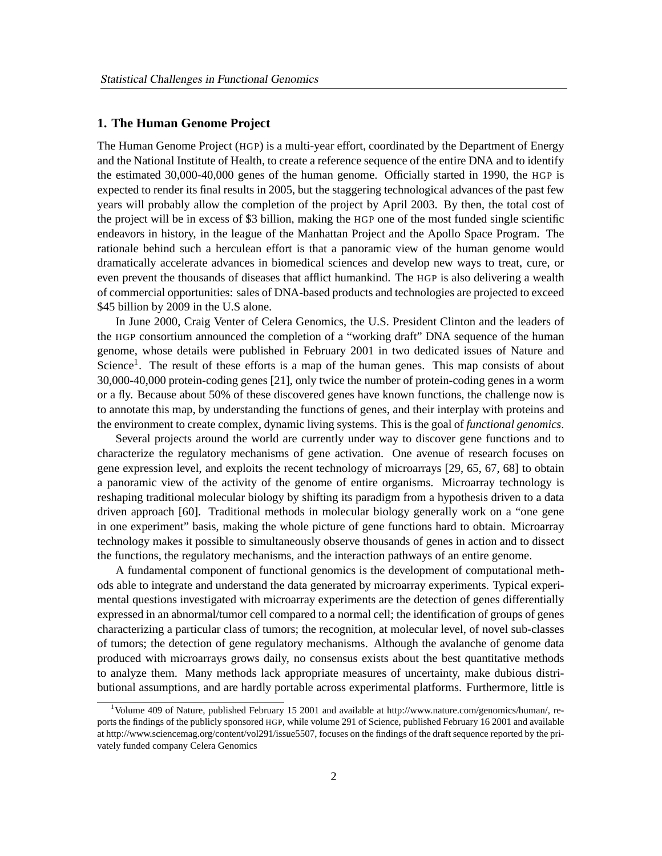#### **1. The Human Genome Project**

The Human Genome Project (HGP) is a multi-year effort, coordinated by the Department of Energy and the National Institute of Health, to create a reference sequence of the entire DNA and to identify the estimated 30,000-40,000 genes of the human genome. Officially started in 1990, the HGP is expected to render its final results in 2005, but the staggering technological advances of the past few years will probably allow the completion of the project by April 2003. By then, the total cost of the project will be in excess of \$3 billion, making the HGP one of the most funded single scientific endeavors in history, in the league of the Manhattan Project and the Apollo Space Program. The rationale behind such a herculean effort is that a panoramic view of the human genome would dramatically accelerate advances in biomedical sciences and develop new ways to treat, cure, or even prevent the thousands of diseases that afflict humankind. The HGP is also delivering a wealth of commercial opportunities: sales of DNA-based products and technologies are projected to exceed \$45 billion by 2009 in the U.S alone.

In June 2000, Craig Venter of Celera Genomics, the U.S. President Clinton and the leaders of the HGP consortium announced the completion of a "working draft" DNA sequence of the human genome, whose details were published in February 2001 in two dedicated issues of Nature and Science<sup>1</sup>. The result of these efforts is a map of the human genes. This map consists of about 30,000-40,000 protein-coding genes [21], only twice the number of protein-coding genes in a worm or a fly. Because about 50% of these discovered genes have known functions, the challenge now is to annotate this map, by understanding the functions of genes, and their interplay with proteins and the environment to create complex, dynamic living systems. This is the goal of *functional genomics*.

Several projects around the world are currently under way to discover gene functions and to characterize the regulatory mechanisms of gene activation. One avenue of research focuses on gene expression level, and exploits the recent technology of microarrays [29, 65, 67, 68] to obtain a panoramic view of the activity of the genome of entire organisms. Microarray technology is reshaping traditional molecular biology by shifting its paradigm from a hypothesis driven to a data driven approach [60]. Traditional methods in molecular biology generally work on a "one gene in one experiment" basis, making the whole picture of gene functions hard to obtain. Microarray technology makes it possible to simultaneously observe thousands of genes in action and to dissect the functions, the regulatory mechanisms, and the interaction pathways of an entire genome.

A fundamental component of functional genomics is the development of computational methods able to integrate and understand the data generated by microarray experiments. Typical experimental questions investigated with microarray experiments are the detection of genes differentially expressed in an abnormal/tumor cell compared to a normal cell; the identification of groups of genes characterizing a particular class of tumors; the recognition, at molecular level, of novel sub-classes of tumors; the detection of gene regulatory mechanisms. Although the avalanche of genome data produced with microarrays grows daily, no consensus exists about the best quantitative methods to analyze them. Many methods lack appropriate measures of uncertainty, make dubious distributional assumptions, and are hardly portable across experimental platforms. Furthermore, little is

<sup>1</sup>Volume 409 of Nature, published February 15 2001 and available at http://www.nature.com/genomics/human/, reports the findings of the publicly sponsored HGP, while volume 291 of Science, published February 16 2001 and available at http://www.sciencemag.org/content/vol291/issue5507, focuses on the findings of the draft sequence reported by the privately funded company Celera Genomics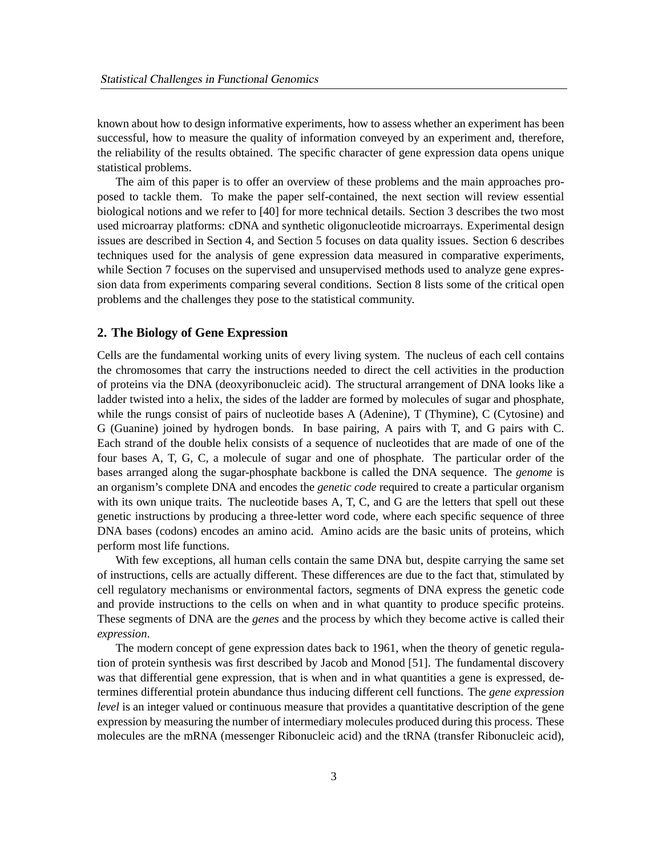known about how to design informative experiments, how to assess whether an experiment has been successful, how to measure the quality of information conveyed by an experiment and, therefore, the reliability of the results obtained. The specific character of gene expression data opens unique statistical problems.

The aim of this paper is to offer an overview of these problems and the main approaches proposed to tackle them. To make the paper self-contained, the next section will review essential biological notions and we refer to [40] for more technical details. Section 3 describes the two most used microarray platforms: cDNA and synthetic oligonucleotide microarrays. Experimental design issues are described in Section 4, and Section 5 focuses on data quality issues. Section 6 describes techniques used for the analysis of gene expression data measured in comparative experiments, while Section 7 focuses on the supervised and unsupervised methods used to analyze gene expression data from experiments comparing several conditions. Section 8 lists some of the critical open problems and the challenges they pose to the statistical community.

## **2. The Biology of Gene Expression**

Cells are the fundamental working units of every living system. The nucleus of each cell contains the chromosomes that carry the instructions needed to direct the cell activities in the production of proteins via the DNA (deoxyribonucleic acid). The structural arrangement of DNA looks like a ladder twisted into a helix, the sides of the ladder are formed by molecules of sugar and phosphate, while the rungs consist of pairs of nucleotide bases A (Adenine), T (Thymine), C (Cytosine) and G (Guanine) joined by hydrogen bonds. In base pairing, A pairs with T, and G pairs with C. Each strand of the double helix consists of a sequence of nucleotides that are made of one of the four bases A, T, G, C, a molecule of sugar and one of phosphate. The particular order of the bases arranged along the sugar-phosphate backbone is called the DNA sequence. The *genome* is an organism's complete DNA and encodes the *genetic code* required to create a particular organism with its own unique traits. The nucleotide bases A, T, C, and G are the letters that spell out these genetic instructions by producing a three-letter word code, where each specific sequence of three DNA bases (codons) encodes an amino acid. Amino acids are the basic units of proteins, which perform most life functions.

With few exceptions, all human cells contain the same DNA but, despite carrying the same set of instructions, cells are actually different. These differences are due to the fact that, stimulated by cell regulatory mechanisms or environmental factors, segments of DNA express the genetic code and provide instructions to the cells on when and in what quantity to produce specific proteins. These segments of DNA are the *genes* and the process by which they become active is called their *expression*.

The modern concept of gene expression dates back to 1961, when the theory of genetic regulation of protein synthesis was first described by Jacob and Monod [51]. The fundamental discovery was that differential gene expression, that is when and in what quantities a gene is expressed, determines differential protein abundance thus inducing different cell functions. The *gene expression level* is an integer valued or continuous measure that provides a quantitative description of the gene expression by measuring the number of intermediary molecules produced during this process. These molecules are the mRNA (messenger Ribonucleic acid) and the tRNA (transfer Ribonucleic acid),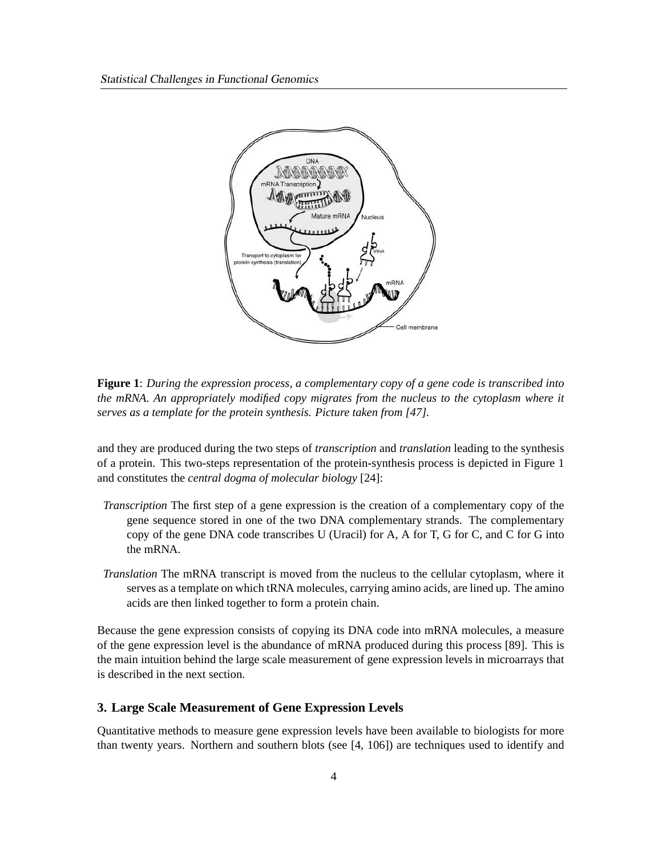

**Figure 1**: *During the expression process, a complementary copy of a gene code is transcribed into the mRNA. An appropriately modified copy migrates from the nucleus to the cytoplasm where it serves as a template for the protein synthesis. Picture taken from [47].*

and they are produced during the two steps of *transcription* and *translation* leading to the synthesis of a protein. This two-steps representation of the protein-synthesis process is depicted in Figure 1 and constitutes the *central dogma of molecular biology* [24]:

- *Transcription* The first step of a gene expression is the creation of a complementary copy of the gene sequence stored in one of the two DNA complementary strands. The complementary copy of the gene DNA code transcribes U (Uracil) for A, A for T, G for C, and C for G into the mRNA.
- *Translation* The mRNA transcript is moved from the nucleus to the cellular cytoplasm, where it serves as a template on which tRNA molecules, carrying amino acids, are lined up. The amino acids are then linked together to form a protein chain.

Because the gene expression consists of copying its DNA code into mRNA molecules, a measure of the gene expression level is the abundance of mRNA produced during this process [89]. This is the main intuition behind the large scale measurement of gene expression levels in microarrays that is described in the next section.

# **3. Large Scale Measurement of Gene Expression Levels**

Quantitative methods to measure gene expression levels have been available to biologists for more than twenty years. Northern and southern blots (see [4, 106]) are techniques used to identify and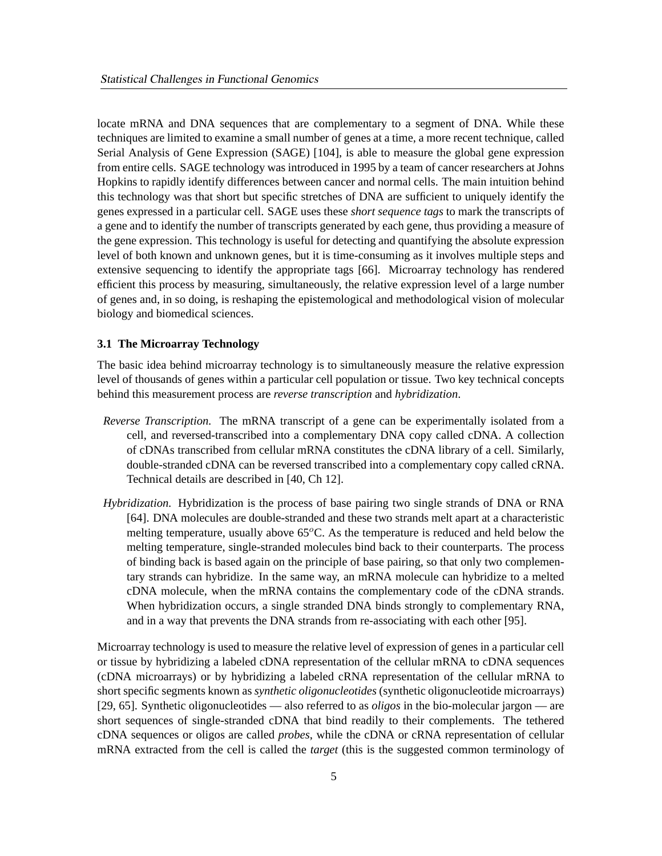locate mRNA and DNA sequences that are complementary to a segment of DNA. While these techniques are limited to examine a small number of genes at a time, a more recent technique, called Serial Analysis of Gene Expression (SAGE) [104], is able to measure the global gene expression from entire cells. SAGE technology was introduced in 1995 by a team of cancer researchers at Johns Hopkins to rapidly identify differences between cancer and normal cells. The main intuition behind this technology was that short but specific stretches of DNA are sufficient to uniquely identify the genes expressed in a particular cell. SAGE uses these *short sequence tags* to mark the transcripts of a gene and to identify the number of transcripts generated by each gene, thus providing a measure of the gene expression. This technology is useful for detecting and quantifying the absolute expression level of both known and unknown genes, but it is time-consuming as it involves multiple steps and extensive sequencing to identify the appropriate tags [66]. Microarray technology has rendered efficient this process by measuring, simultaneously, the relative expression level of a large number of genes and, in so doing, is reshaping the epistemological and methodological vision of molecular biology and biomedical sciences.

## **3.1 The Microarray Technology**

The basic idea behind microarray technology is to simultaneously measure the relative expression level of thousands of genes within a particular cell population or tissue. Two key technical concepts behind this measurement process are *reverse transcription* and *hybridization*.

- *Reverse Transcription.* The mRNA transcript of a gene can be experimentally isolated from a cell, and reversed-transcribed into a complementary DNA copy called cDNA. A collection of cDNAs transcribed from cellular mRNA constitutes the cDNA library of a cell. Similarly, double-stranded cDNA can be reversed transcribed into a complementary copy called cRNA. Technical details are described in [40, Ch 12].
- *Hybridization.* Hybridization is the process of base pairing two single strands of DNA or RNA [64]. DNA molecules are double-stranded and these two strands melt apart at a characteristic melting temperature, usually above  $65^{\circ}$ C. As the temperature is reduced and held below the melting temperature, single-stranded molecules bind back to their counterparts. The process of binding back is based again on the principle of base pairing, so that only two complementary strands can hybridize. In the same way, an mRNA molecule can hybridize to a melted cDNA molecule, when the mRNA contains the complementary code of the cDNA strands. When hybridization occurs, a single stranded DNA binds strongly to complementary RNA, and in a way that prevents the DNA strands from re-associating with each other [95].

Microarray technology is used to measure the relative level of expression of genes in a particular cell or tissue by hybridizing a labeled cDNA representation of the cellular mRNA to cDNA sequences (cDNA microarrays) or by hybridizing a labeled cRNA representation of the cellular mRNA to short specific segments known as *synthetic oligonucleotides* (synthetic oligonucleotide microarrays) [29, 65]. Synthetic oligonucleotides — also referred to as *oligos* in the bio-molecular jargon — are short sequences of single-stranded cDNA that bind readily to their complements. The tethered cDNA sequences or oligos are called *probes*, while the cDNA or cRNA representation of cellular mRNA extracted from the cell is called the *target* (this is the suggested common terminology of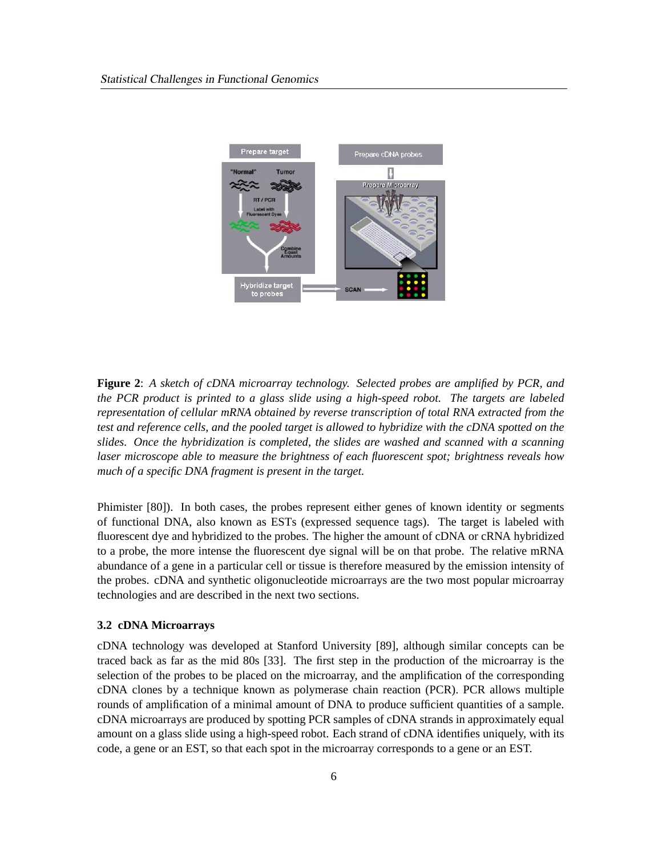

**Figure 2**: *A sketch of cDNA microarray technology. Selected probes are amplified by PCR, and the PCR product is printed to a glass slide using a high-speed robot. The targets are labeled representation of cellular mRNA obtained by reverse transcription of total RNA extracted from the test and reference cells, and the pooled target is allowed to hybridize with the cDNA spotted on the slides. Once the hybridization is completed, the slides are washed and scanned with a scanning laser microscope able to measure the brightness of each fluorescent spot; brightness reveals how much of a specific DNA fragment is present in the target.*

Phimister [80]). In both cases, the probes represent either genes of known identity or segments of functional DNA, also known as ESTs (expressed sequence tags). The target is labeled with fluorescent dye and hybridized to the probes. The higher the amount of cDNA or cRNA hybridized to a probe, the more intense the fluorescent dye signal will be on that probe. The relative mRNA abundance of a gene in a particular cell or tissue is therefore measured by the emission intensity of the probes. cDNA and synthetic oligonucleotide microarrays are the two most popular microarray technologies and are described in the next two sections.

## **3.2 cDNA Microarrays**

cDNA technology was developed at Stanford University [89], although similar concepts can be traced back as far as the mid 80s [33]. The first step in the production of the microarray is the selection of the probes to be placed on the microarray, and the amplification of the corresponding cDNA clones by a technique known as polymerase chain reaction (PCR). PCR allows multiple rounds of amplification of a minimal amount of DNA to produce sufficient quantities of a sample. cDNA microarrays are produced by spotting PCR samples of cDNA strands in approximately equal amount on a glass slide using a high-speed robot. Each strand of cDNA identifies uniquely, with its code, a gene or an EST, so that each spot in the microarray corresponds to a gene or an EST.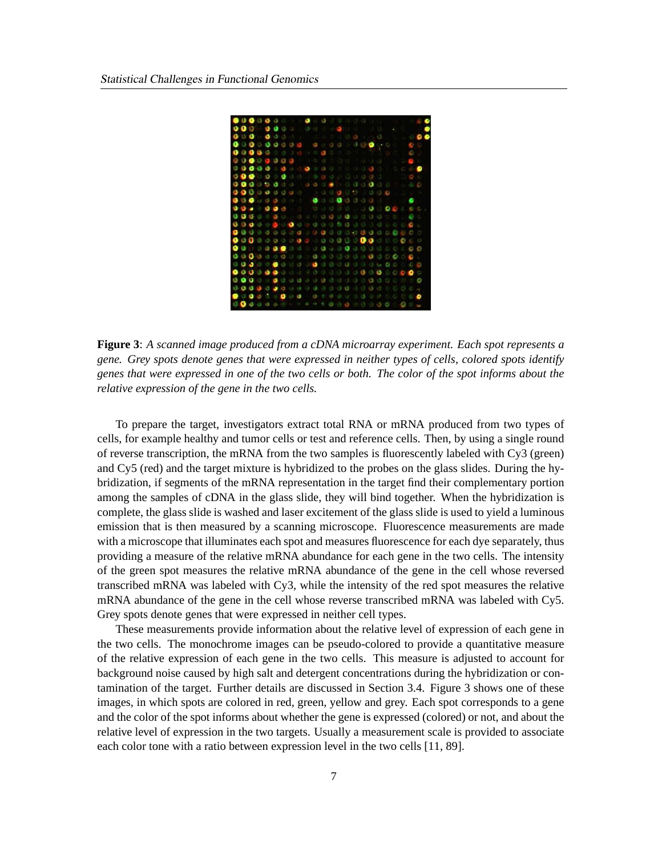

**Figure 3**: *A scanned image produced from a cDNA microarray experiment. Each spot represents a gene. Grey spots denote genes that were expressed in neither types of cells, colored spots identify genes that were expressed in one of the two cells or both. The color of the spot informs about the relative expression of the gene in the two cells.*

To prepare the target, investigators extract total RNA or mRNA produced from two types of cells, for example healthy and tumor cells or test and reference cells. Then, by using a single round of reverse transcription, the mRNA from the two samples is fluorescently labeled with Cy3 (green) and Cy5 (red) and the target mixture is hybridized to the probes on the glass slides. During the hybridization, if segments of the mRNA representation in the target find their complementary portion among the samples of cDNA in the glass slide, they will bind together. When the hybridization is complete, the glass slide is washed and laser excitement of the glass slide is used to yield a luminous emission that is then measured by a scanning microscope. Fluorescence measurements are made with a microscope that illuminates each spot and measures fluorescence for each dye separately, thus providing a measure of the relative mRNA abundance for each gene in the two cells. The intensity of the green spot measures the relative mRNA abundance of the gene in the cell whose reversed transcribed mRNA was labeled with Cy3, while the intensity of the red spot measures the relative mRNA abundance of the gene in the cell whose reverse transcribed mRNA was labeled with Cy5. Grey spots denote genes that were expressed in neither cell types.

These measurements provide information about the relative level of expression of each gene in the two cells. The monochrome images can be pseudo-colored to provide a quantitative measure of the relative expression of each gene in the two cells. This measure is adjusted to account for background noise caused by high salt and detergent concentrations during the hybridization or contamination of the target. Further details are discussed in Section 3.4. Figure 3 shows one of these images, in which spots are colored in red, green, yellow and grey. Each spot corresponds to a gene and the color of the spot informs about whether the gene is expressed (colored) or not, and about the relative level of expression in the two targets. Usually a measurement scale is provided to associate each color tone with a ratio between expression level in the two cells [11, 89].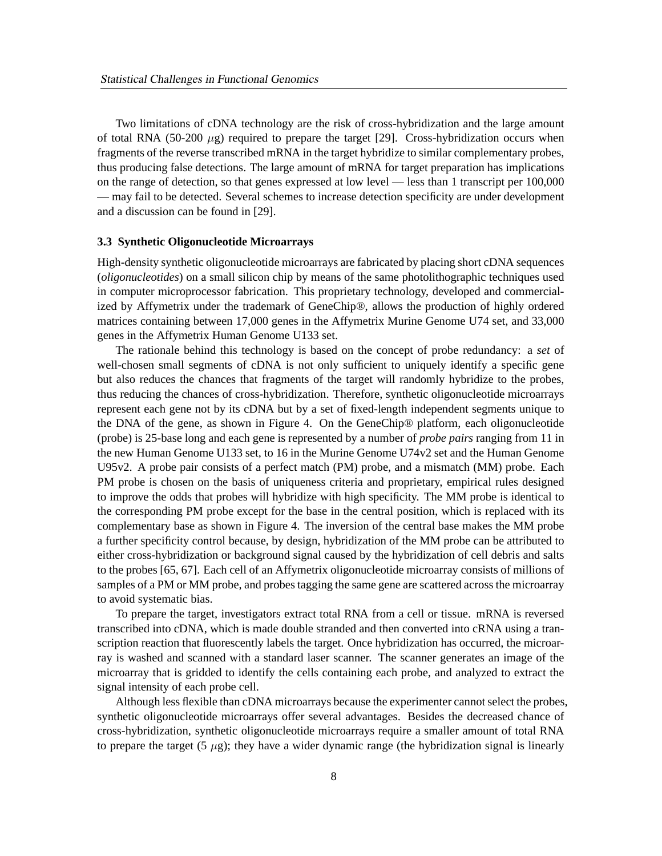Two limitations of cDNA technology are the risk of cross-hybridization and the large amount of total RNA (50-200  $\mu$ g) required to prepare the target [29]. Cross-hybridization occurs when fragments of the reverse transcribed mRNA in the target hybridize to similar complementary probes, thus producing false detections. The large amount of mRNA for target preparation has implications on the range of detection, so that genes expressed at low level — less than 1 transcript per 100,000 — may fail to be detected. Several schemes to increase detection specificity are under development and a discussion can be found in [29].

## **3.3 Synthetic Oligonucleotide Microarrays**

High-density synthetic oligonucleotide microarrays are fabricated by placing short cDNA sequences (*oligonucleotides*) on a small silicon chip by means of the same photolithographic techniques used in computer microprocessor fabrication. This proprietary technology, developed and commercialized by Affymetrix under the trademark of GeneChip®, allows the production of highly ordered matrices containing between 17,000 genes in the Affymetrix Murine Genome U74 set, and 33,000 genes in the Affymetrix Human Genome U133 set.

The rationale behind this technology is based on the concept of probe redundancy: a *set* of well-chosen small segments of cDNA is not only sufficient to uniquely identify a specific gene but also reduces the chances that fragments of the target will randomly hybridize to the probes, thus reducing the chances of cross-hybridization. Therefore, synthetic oligonucleotide microarrays represent each gene not by its cDNA but by a set of fixed-length independent segments unique to the DNA of the gene, as shown in Figure 4. On the GeneChip® platform, each oligonucleotide (probe) is 25-base long and each gene is represented by a number of *probe pairs* ranging from 11 in the new Human Genome U133 set, to 16 in the Murine Genome U74v2 set and the Human Genome U95v2. A probe pair consists of a perfect match (PM) probe, and a mismatch (MM) probe. Each PM probe is chosen on the basis of uniqueness criteria and proprietary, empirical rules designed to improve the odds that probes will hybridize with high specificity. The MM probe is identical to the corresponding PM probe except for the base in the central position, which is replaced with its complementary base as shown in Figure 4. The inversion of the central base makes the MM probe a further specificity control because, by design, hybridization of the MM probe can be attributed to either cross-hybridization or background signal caused by the hybridization of cell debris and salts to the probes [65, 67]. Each cell of an Affymetrix oligonucleotide microarray consists of millions of samples of a PM or MM probe, and probes tagging the same gene are scattered across the microarray to avoid systematic bias.

To prepare the target, investigators extract total RNA from a cell or tissue. mRNA is reversed transcribed into cDNA, which is made double stranded and then converted into cRNA using a transcription reaction that fluorescently labels the target. Once hybridization has occurred, the microarray is washed and scanned with a standard laser scanner. The scanner generates an image of the microarray that is gridded to identify the cells containing each probe, and analyzed to extract the signal intensity of each probe cell.

Although less flexible than cDNA microarrays because the experimenter cannot select the probes, synthetic oligonucleotide microarrays offer several advantages. Besides the decreased chance of cross-hybridization, synthetic oligonucleotide microarrays require a smaller amount of total RNA to prepare the target (5  $\mu$ g); they have a wider dynamic range (the hybridization signal is linearly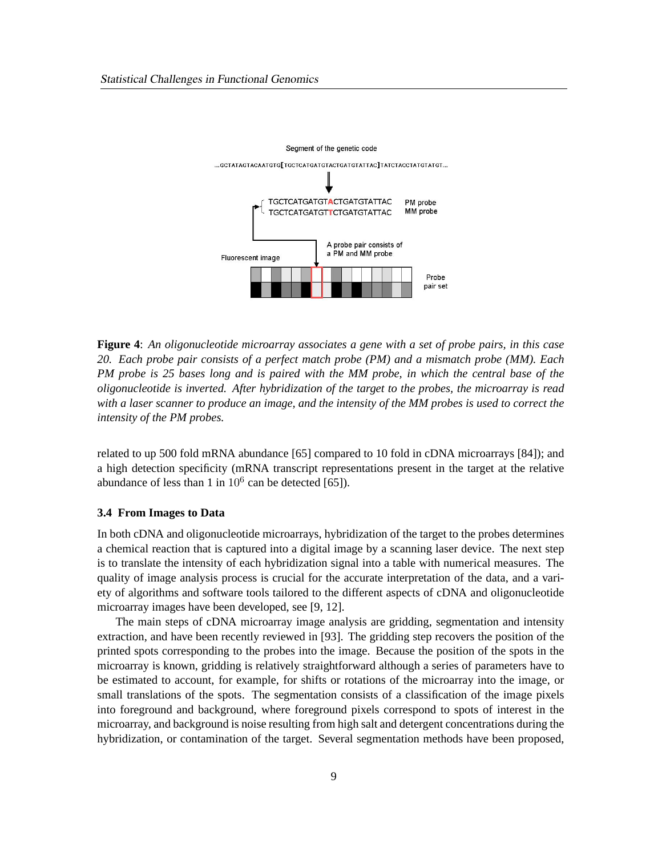

**Figure 4**: *An oligonucleotide microarray associates a gene with a set of probe pairs, in this case 20. Each probe pair consists of a perfect match probe (PM) and a mismatch probe (MM). Each PM probe is 25 bases long and is paired with the MM probe, in which the central base of the oligonucleotide is inverted. After hybridization of the target to the probes, the microarray is read with a laser scanner to produce an image, and the intensity of the MM probes is used to correct the intensity of the PM probes.*

related to up 500 fold mRNA abundance [65] compared to 10 fold in cDNA microarrays [84]); and a high detection specificity (mRNA transcript representations present in the target at the relative abundance of less than 1 in  $10^6$  can be detected [65]).

#### **3.4 From Images to Data**

In both cDNA and oligonucleotide microarrays, hybridization of the target to the probes determines a chemical reaction that is captured into a digital image by a scanning laser device. The next step is to translate the intensity of each hybridization signal into a table with numerical measures. The quality of image analysis process is crucial for the accurate interpretation of the data, and a variety of algorithms and software tools tailored to the different aspects of cDNA and oligonucleotide microarray images have been developed, see [9, 12].

The main steps of cDNA microarray image analysis are gridding, segmentation and intensity extraction, and have been recently reviewed in [93]. The gridding step recovers the position of the printed spots corresponding to the probes into the image. Because the position of the spots in the microarray is known, gridding is relatively straightforward although a series of parameters have to be estimated to account, for example, for shifts or rotations of the microarray into the image, or small translations of the spots. The segmentation consists of a classification of the image pixels into foreground and background, where foreground pixels correspond to spots of interest in the microarray, and background is noise resulting from high salt and detergent concentrations during the hybridization, or contamination of the target. Several segmentation methods have been proposed,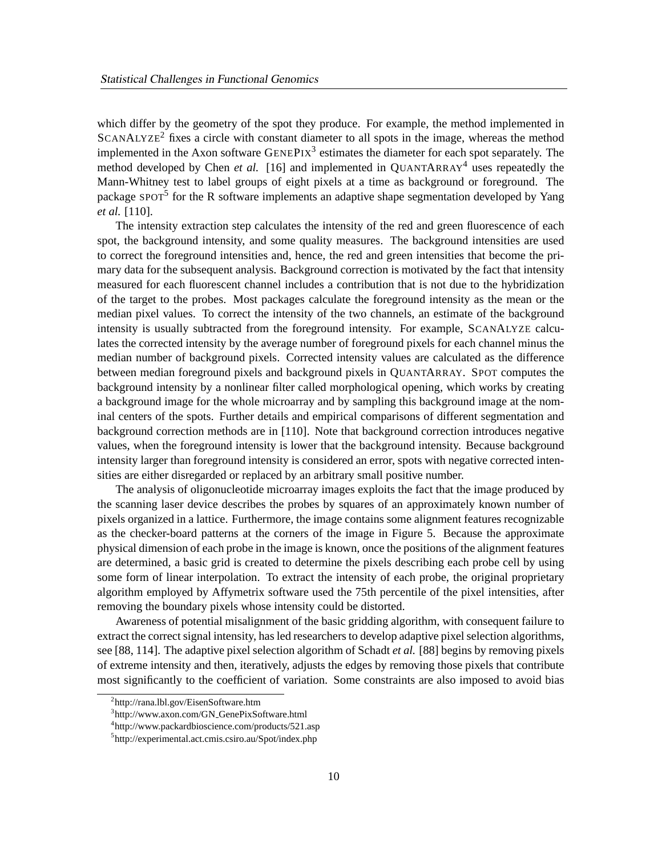which differ by the geometry of the spot they produce. For example, the method implemented in SCANALYZE<sup>2</sup> fixes a circle with constant diameter to all spots in the image, whereas the method implemented in the Axon software  $GENEPIX<sup>3</sup>$  estimates the diameter for each spot separately. The method developed by Chen *et al.* [16] and implemented in OUANTARRAY<sup>4</sup> uses repeatedly the Mann-Whitney test to label groups of eight pixels at a time as background or foreground. The package SPOT<sup>5</sup> for the R software implements an adaptive shape segmentation developed by Yang *et al.* [110].

The intensity extraction step calculates the intensity of the red and green fluorescence of each spot, the background intensity, and some quality measures. The background intensities are used to correct the foreground intensities and, hence, the red and green intensities that become the primary data for the subsequent analysis. Background correction is motivated by the fact that intensity measured for each fluorescent channel includes a contribution that is not due to the hybridization of the target to the probes. Most packages calculate the foreground intensity as the mean or the median pixel values. To correct the intensity of the two channels, an estimate of the background intensity is usually subtracted from the foreground intensity. For example, SCANALYZE calculates the corrected intensity by the average number of foreground pixels for each channel minus the median number of background pixels. Corrected intensity values are calculated as the difference between median foreground pixels and background pixels in QUANTARRAY. SPOT computes the background intensity by a nonlinear filter called morphological opening, which works by creating a background image for the whole microarray and by sampling this background image at the nominal centers of the spots. Further details and empirical comparisons of different segmentation and background correction methods are in [110]. Note that background correction introduces negative values, when the foreground intensity is lower that the background intensity. Because background intensity larger than foreground intensity is considered an error, spots with negative corrected intensities are either disregarded or replaced by an arbitrary small positive number.

The analysis of oligonucleotide microarray images exploits the fact that the image produced by the scanning laser device describes the probes by squares of an approximately known number of pixels organized in a lattice. Furthermore, the image contains some alignment features recognizable as the checker-board patterns at the corners of the image in Figure 5. Because the approximate physical dimension of each probe in the image is known, once the positions of the alignment features are determined, a basic grid is created to determine the pixels describing each probe cell by using some form of linear interpolation. To extract the intensity of each probe, the original proprietary algorithm employed by Affymetrix software used the 75th percentile of the pixel intensities, after removing the boundary pixels whose intensity could be distorted.

Awareness of potential misalignment of the basic gridding algorithm, with consequent failure to extract the correct signal intensity, has led researchers to develop adaptive pixel selection algorithms, see [88, 114]. The adaptive pixel selection algorithm of Schadt *et al.* [88] begins by removing pixels of extreme intensity and then, iteratively, adjusts the edges by removing those pixels that contribute most significantly to the coefficient of variation. Some constraints are also imposed to avoid bias

<sup>2</sup> http://rana.lbl.gov/EisenSoftware.htm

<sup>&</sup>lt;sup>3</sup>http://www.axon.com/GN\_GenePixSoftware.html

<sup>4</sup> http://www.packardbioscience.com/products/521.asp

<sup>5</sup> http://experimental.act.cmis.csiro.au/Spot/index.php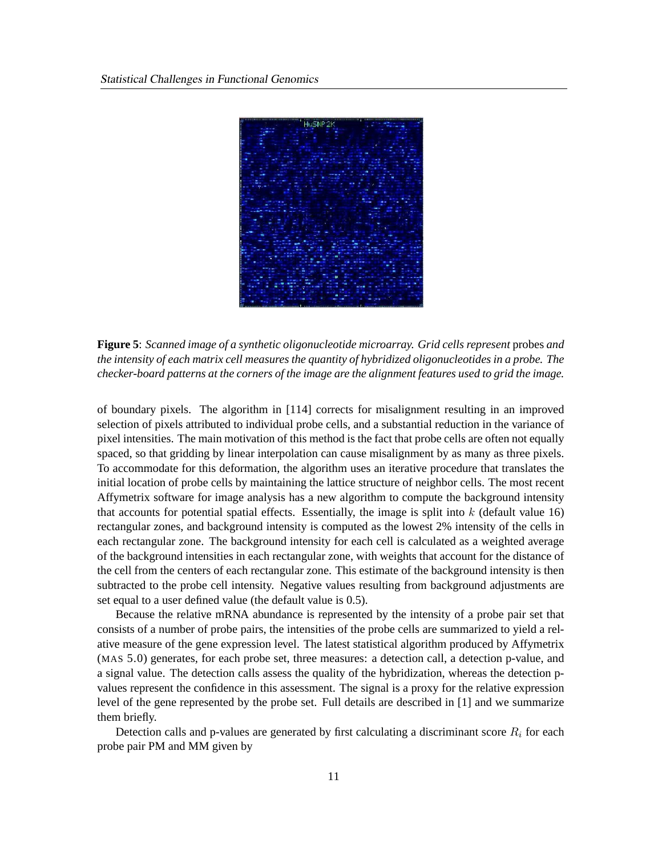

**Figure 5**: *Scanned image of a synthetic oligonucleotide microarray. Grid cells represent* probes *and the intensity of each matrix cell measures the quantity of hybridized oligonucleotides in a probe. The checker-board patterns at the corners of the image are the alignment features used to grid the image.*

of boundary pixels. The algorithm in [114] corrects for misalignment resulting in an improved selection of pixels attributed to individual probe cells, and a substantial reduction in the variance of pixel intensities. The main motivation of this method is the fact that probe cells are often not equally spaced, so that gridding by linear interpolation can cause misalignment by as many as three pixels. To accommodate for this deformation, the algorithm uses an iterative procedure that translates the initial location of probe cells by maintaining the lattice structure of neighbor cells. The most recent Affymetrix software for image analysis has a new algorithm to compute the background intensity that accounts for potential spatial effects. Essentially, the image is split into  $k$  (default value 16) rectangular zones, and background intensity is computed as the lowest 2% intensity of the cells in each rectangular zone. The background intensity for each cell is calculated as a weighted average of the background intensities in each rectangular zone, with weights that account for the distance of the cell from the centers of each rectangular zone. This estimate of the background intensity is then subtracted to the probe cell intensity. Negative values resulting from background adjustments are set equal to a user defined value (the default value is 0.5).

Because the relative mRNA abundance is represented by the intensity of a probe pair set that consists of a number of probe pairs, the intensities of the probe cells are summarized to yield a relative measure of the gene expression level. The latest statistical algorithm produced by Affymetrix (MAS 5.0) generates, for each probe set, three measures: a detection call, a detection p-value, and a signal value. The detection calls assess the quality of the hybridization, whereas the detection pvalues represent the confidence in this assessment. The signal is a proxy for the relative expression level of the gene represented by the probe set. Full details are described in [1] and we summarize them briefly.

Detection calls and p-values are generated by first calculating a discriminant score  $R_i$  for each probe pair PM and MM given by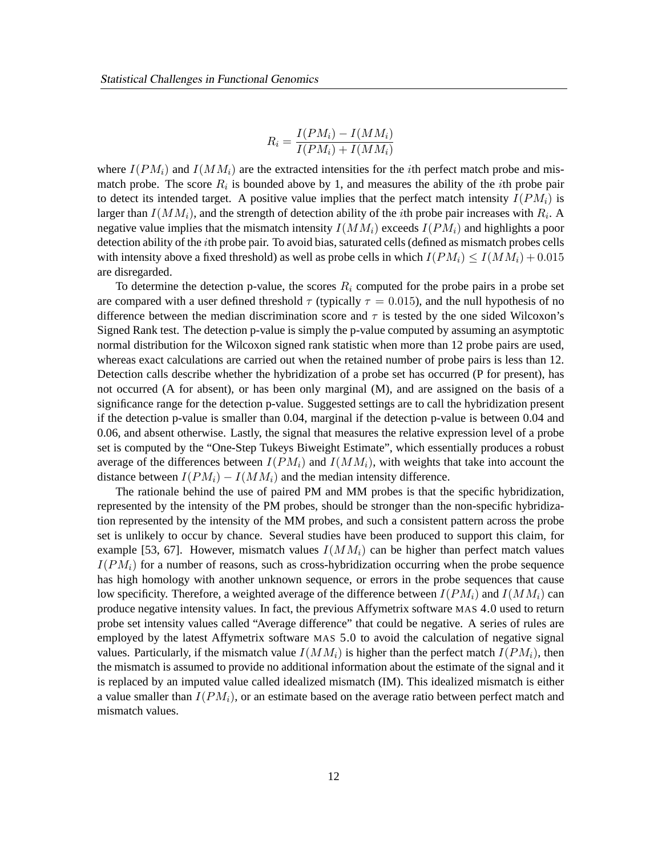$$
R_i = \frac{I(PM_i) - I(MM_i)}{I(PM_i) + I(MM_i)}
$$

where  $I(PM_i)$  and  $I(MM_i)$  are the extracted intensities for the *i*th perfect match probe and mismatch probe. The score  $R_i$  is bounded above by 1, and measures the ability of the *i*th probe pair to detect its intended target. A positive value implies that the perfect match intensity  $I(PM_i)$  is larger than  $I(MM_i)$ , and the strength of detection ability of the *i*th probe pair increases with  $R_i$ . A negative value implies that the mismatch intensity  $I(MM_i)$  exceeds  $I(PM_i)$  and highlights a poor detection ability of the ith probe pair. To avoid bias, saturated cells (defined as mismatch probes cells with intensity above a fixed threshold) as well as probe cells in which  $I(PM_i) \leq I(MM_i) + 0.015$ are disregarded.

To determine the detection p-value, the scores  $R_i$  computed for the probe pairs in a probe set are compared with a user defined threshold  $\tau$  (typically  $\tau = 0.015$ ), and the null hypothesis of no difference between the median discrimination score and  $\tau$  is tested by the one sided Wilcoxon's Signed Rank test. The detection p-value is simply the p-value computed by assuming an asymptotic normal distribution for the Wilcoxon signed rank statistic when more than 12 probe pairs are used, whereas exact calculations are carried out when the retained number of probe pairs is less than 12. Detection calls describe whether the hybridization of a probe set has occurred (P for present), has not occurred (A for absent), or has been only marginal (M), and are assigned on the basis of a significance range for the detection p-value. Suggested settings are to call the hybridization present if the detection p-value is smaller than 0.04, marginal if the detection p-value is between 0.04 and 0.06, and absent otherwise. Lastly, the signal that measures the relative expression level of a probe set is computed by the "One-Step Tukeys Biweight Estimate", which essentially produces a robust average of the differences between  $I(PM_i)$  and  $I(MM_i)$ , with weights that take into account the distance between  $I(PM_i) - I(MM_i)$  and the median intensity difference.

The rationale behind the use of paired PM and MM probes is that the specific hybridization, represented by the intensity of the PM probes, should be stronger than the non-specific hybridization represented by the intensity of the MM probes, and such a consistent pattern across the probe set is unlikely to occur by chance. Several studies have been produced to support this claim, for example [53, 67]. However, mismatch values  $I(MM_i)$  can be higher than perfect match values  $I(PM_i)$  for a number of reasons, such as cross-hybridization occurring when the probe sequence has high homology with another unknown sequence, or errors in the probe sequences that cause low specificity. Therefore, a weighted average of the difference between  $I(PM_i)$  and  $I(MM_i)$  can produce negative intensity values. In fact, the previous Affymetrix software MAS 4.0 used to return probe set intensity values called "Average difference" that could be negative. A series of rules are employed by the latest Affymetrix software MAS 5.0 to avoid the calculation of negative signal values. Particularly, if the mismatch value  $I(MM_i)$  is higher than the perfect match  $I(PM_i)$ , then the mismatch is assumed to provide no additional information about the estimate of the signal and it is replaced by an imputed value called idealized mismatch (IM). This idealized mismatch is either a value smaller than  $I(PM_i)$ , or an estimate based on the average ratio between perfect match and mismatch values.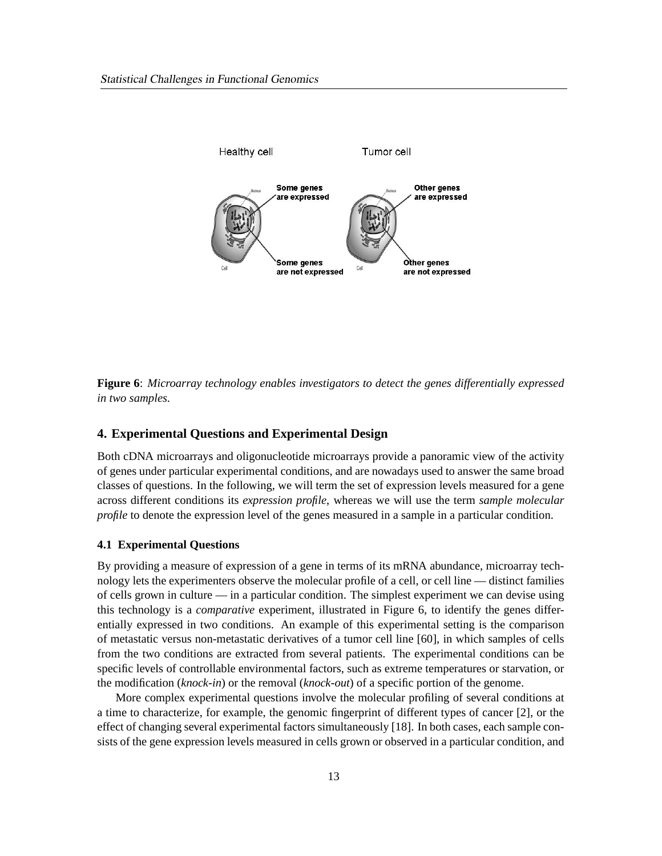

**Figure 6**: *Microarray technology enables investigators to detect the genes differentially expressed in two samples.*

# **4. Experimental Questions and Experimental Design**

Both cDNA microarrays and oligonucleotide microarrays provide a panoramic view of the activity of genes under particular experimental conditions, and are nowadays used to answer the same broad classes of questions. In the following, we will term the set of expression levels measured for a gene across different conditions its *expression profile*, whereas we will use the term *sample molecular profile* to denote the expression level of the genes measured in a sample in a particular condition.

#### **4.1 Experimental Questions**

By providing a measure of expression of a gene in terms of its mRNA abundance, microarray technology lets the experimenters observe the molecular profile of a cell, or cell line — distinct families of cells grown in culture — in a particular condition. The simplest experiment we can devise using this technology is a *comparative* experiment, illustrated in Figure 6, to identify the genes differentially expressed in two conditions. An example of this experimental setting is the comparison of metastatic versus non-metastatic derivatives of a tumor cell line [60], in which samples of cells from the two conditions are extracted from several patients. The experimental conditions can be specific levels of controllable environmental factors, such as extreme temperatures or starvation, or the modification (*knock-in*) or the removal (*knock-out*) of a specific portion of the genome.

More complex experimental questions involve the molecular profiling of several conditions at a time to characterize, for example, the genomic fingerprint of different types of cancer [2], or the effect of changing several experimental factors simultaneously [18]. In both cases, each sample consists of the gene expression levels measured in cells grown or observed in a particular condition, and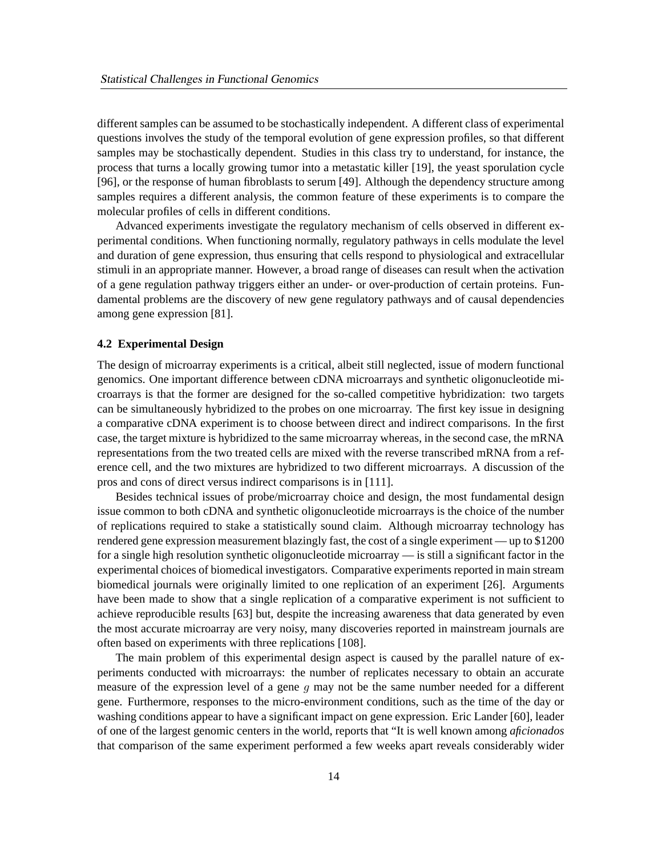different samples can be assumed to be stochastically independent. A different class of experimental questions involves the study of the temporal evolution of gene expression profiles, so that different samples may be stochastically dependent. Studies in this class try to understand, for instance, the process that turns a locally growing tumor into a metastatic killer [19], the yeast sporulation cycle [96], or the response of human fibroblasts to serum [49]. Although the dependency structure among samples requires a different analysis, the common feature of these experiments is to compare the molecular profiles of cells in different conditions.

Advanced experiments investigate the regulatory mechanism of cells observed in different experimental conditions. When functioning normally, regulatory pathways in cells modulate the level and duration of gene expression, thus ensuring that cells respond to physiological and extracellular stimuli in an appropriate manner. However, a broad range of diseases can result when the activation of a gene regulation pathway triggers either an under- or over-production of certain proteins. Fundamental problems are the discovery of new gene regulatory pathways and of causal dependencies among gene expression [81].

### **4.2 Experimental Design**

The design of microarray experiments is a critical, albeit still neglected, issue of modern functional genomics. One important difference between cDNA microarrays and synthetic oligonucleotide microarrays is that the former are designed for the so-called competitive hybridization: two targets can be simultaneously hybridized to the probes on one microarray. The first key issue in designing a comparative cDNA experiment is to choose between direct and indirect comparisons. In the first case, the target mixture is hybridized to the same microarray whereas, in the second case, the mRNA representations from the two treated cells are mixed with the reverse transcribed mRNA from a reference cell, and the two mixtures are hybridized to two different microarrays. A discussion of the pros and cons of direct versus indirect comparisons is in [111].

Besides technical issues of probe/microarray choice and design, the most fundamental design issue common to both cDNA and synthetic oligonucleotide microarrays is the choice of the number of replications required to stake a statistically sound claim. Although microarray technology has rendered gene expression measurement blazingly fast, the cost of a single experiment — up to \$1200 for a single high resolution synthetic oligonucleotide microarray — is still a significant factor in the experimental choices of biomedical investigators. Comparative experiments reported in main stream biomedical journals were originally limited to one replication of an experiment [26]. Arguments have been made to show that a single replication of a comparative experiment is not sufficient to achieve reproducible results [63] but, despite the increasing awareness that data generated by even the most accurate microarray are very noisy, many discoveries reported in mainstream journals are often based on experiments with three replications [108].

The main problem of this experimental design aspect is caused by the parallel nature of experiments conducted with microarrays: the number of replicates necessary to obtain an accurate measure of the expression level of a gene  $q$  may not be the same number needed for a different gene. Furthermore, responses to the micro-environment conditions, such as the time of the day or washing conditions appear to have a significant impact on gene expression. Eric Lander [60], leader of one of the largest genomic centers in the world, reports that "It is well known among *aficionados* that comparison of the same experiment performed a few weeks apart reveals considerably wider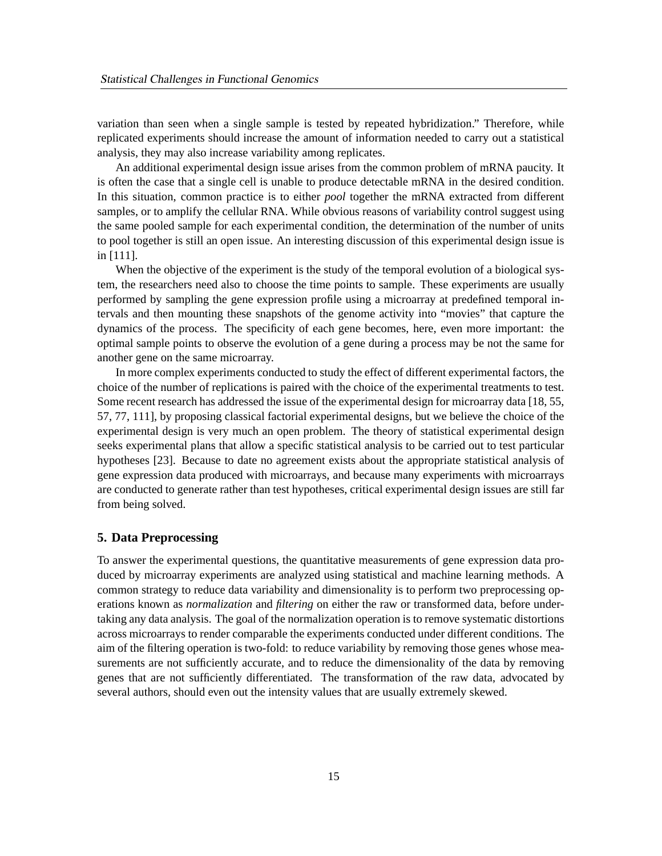variation than seen when a single sample is tested by repeated hybridization." Therefore, while replicated experiments should increase the amount of information needed to carry out a statistical analysis, they may also increase variability among replicates.

An additional experimental design issue arises from the common problem of mRNA paucity. It is often the case that a single cell is unable to produce detectable mRNA in the desired condition. In this situation, common practice is to either *pool* together the mRNA extracted from different samples, or to amplify the cellular RNA. While obvious reasons of variability control suggest using the same pooled sample for each experimental condition, the determination of the number of units to pool together is still an open issue. An interesting discussion of this experimental design issue is in [111].

When the objective of the experiment is the study of the temporal evolution of a biological system, the researchers need also to choose the time points to sample. These experiments are usually performed by sampling the gene expression profile using a microarray at predefined temporal intervals and then mounting these snapshots of the genome activity into "movies" that capture the dynamics of the process. The specificity of each gene becomes, here, even more important: the optimal sample points to observe the evolution of a gene during a process may be not the same for another gene on the same microarray.

In more complex experiments conducted to study the effect of different experimental factors, the choice of the number of replications is paired with the choice of the experimental treatments to test. Some recent research has addressed the issue of the experimental design for microarray data [18, 55, 57, 77, 111], by proposing classical factorial experimental designs, but we believe the choice of the experimental design is very much an open problem. The theory of statistical experimental design seeks experimental plans that allow a specific statistical analysis to be carried out to test particular hypotheses [23]. Because to date no agreement exists about the appropriate statistical analysis of gene expression data produced with microarrays, and because many experiments with microarrays are conducted to generate rather than test hypotheses, critical experimental design issues are still far from being solved.

## **5. Data Preprocessing**

To answer the experimental questions, the quantitative measurements of gene expression data produced by microarray experiments are analyzed using statistical and machine learning methods. A common strategy to reduce data variability and dimensionality is to perform two preprocessing operations known as *normalization* and *filtering* on either the raw or transformed data, before undertaking any data analysis. The goal of the normalization operation is to remove systematic distortions across microarrays to render comparable the experiments conducted under different conditions. The aim of the filtering operation is two-fold: to reduce variability by removing those genes whose measurements are not sufficiently accurate, and to reduce the dimensionality of the data by removing genes that are not sufficiently differentiated. The transformation of the raw data, advocated by several authors, should even out the intensity values that are usually extremely skewed.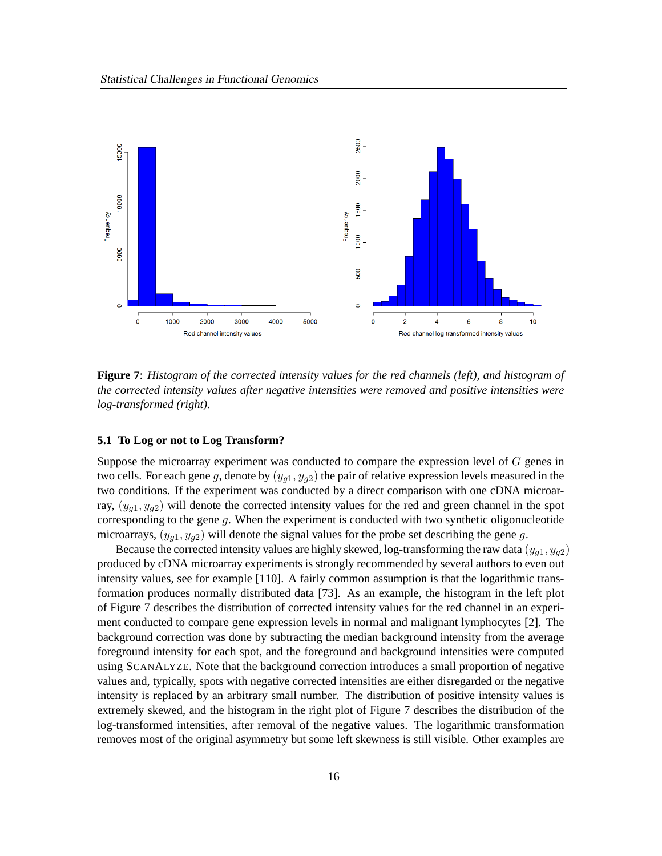

**Figure 7**: *Histogram of the corrected intensity values for the red channels (left), and histogram of the corrected intensity values after negative intensities were removed and positive intensities were log-transformed (right).*

## **5.1 To Log or not to Log Transform?**

Suppose the microarray experiment was conducted to compare the expression level of  $G$  genes in two cells. For each gene g, denote by  $(y_{g1}, y_{g2})$  the pair of relative expression levels measured in the two conditions. If the experiment was conducted by a direct comparison with one cDNA microarray,  $(y_{q1}, y_{q2})$  will denote the corrected intensity values for the red and green channel in the spot corresponding to the gene  $g$ . When the experiment is conducted with two synthetic oligonucleotide microarrays,  $(y_{q1}, y_{q2})$  will denote the signal values for the probe set describing the gene g.

Because the corrected intensity values are highly skewed, log-transforming the raw data  $(y_{q1}, y_{q2})$ produced by cDNA microarray experiments is strongly recommended by several authors to even out intensity values, see for example [110]. A fairly common assumption is that the logarithmic transformation produces normally distributed data [73]. As an example, the histogram in the left plot of Figure 7 describes the distribution of corrected intensity values for the red channel in an experiment conducted to compare gene expression levels in normal and malignant lymphocytes [2]. The background correction was done by subtracting the median background intensity from the average foreground intensity for each spot, and the foreground and background intensities were computed using SCANALYZE. Note that the background correction introduces a small proportion of negative values and, typically, spots with negative corrected intensities are either disregarded or the negative intensity is replaced by an arbitrary small number. The distribution of positive intensity values is extremely skewed, and the histogram in the right plot of Figure 7 describes the distribution of the log-transformed intensities, after removal of the negative values. The logarithmic transformation removes most of the original asymmetry but some left skewness is still visible. Other examples are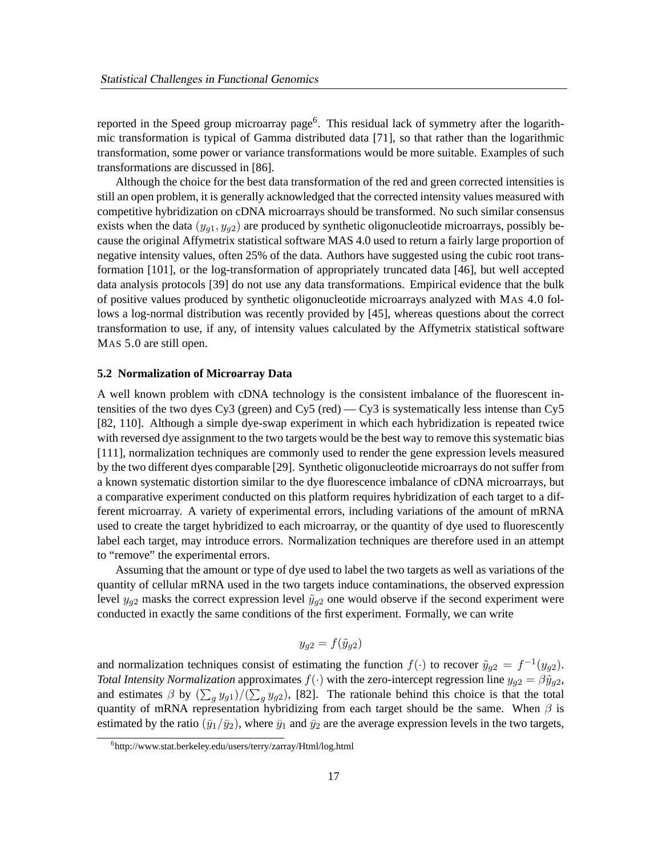reported in the Speed group microarray page<sup>6</sup>. This residual lack of symmetry after the logarithmic transformation is typical of Gamma distributed data [71], so that rather than the logarithmic transformation, some power or variance transformations would be more suitable. Examples of such transformations are discussed in [86].

Although the choice for the best data transformation of the red and green corrected intensities is still an open problem, it is generally acknowledged that the corrected intensity values measured with competitive hybridization on cDNA microarrays should be transformed. No such similar consensus exists when the data  $(y_{q1}, y_{q2})$  are produced by synthetic oligonucleotide microarrays, possibly because the original Affymetrix statistical software MAS 4.0 used to return a fairly large proportion of negative intensity values, often 25% of the data. Authors have suggested using the cubic root transformation [101], or the log-transformation of appropriately truncated data [46], but well accepted data analysis protocols [39] do not use any data transformations. Empirical evidence that the bulk of positive values produced by synthetic oligonucleotide microarrays analyzed with MAS 4.0 follows a log-normal distribution was recently provided by [45], whereas questions about the correct transformation to use, if any, of intensity values calculated by the Affymetrix statistical software MAS 5.0 are still open.

#### **5.2 Normalization of Microarray Data**

A well known problem with cDNA technology is the consistent imbalance of the fluorescent intensities of the two dyes Cy3 (green) and Cy5 (red) — Cy3 is systematically less intense than Cy5 [82, 110]. Although a simple dye-swap experiment in which each hybridization is repeated twice with reversed dye assignment to the two targets would be the best way to remove this systematic bias [111], normalization techniques are commonly used to render the gene expression levels measured by the two different dyes comparable [29]. Synthetic oligonucleotide microarrays do not suffer from a known systematic distortion similar to the dye fluorescence imbalance of cDNA microarrays, but a comparative experiment conducted on this platform requires hybridization of each target to a different microarray. A variety of experimental errors, including variations of the amount of mRNA used to create the target hybridized to each microarray, or the quantity of dye used to fluorescently label each target, may introduce errors. Normalization techniques are therefore used in an attempt to "remove" the experimental errors.

Assuming that the amount or type of dye used to label the two targets as well as variations of the quantity of cellular mRNA used in the two targets induce contaminations, the observed expression level  $y_{g2}$  masks the correct expression level  $\tilde{y}_{g2}$  one would observe if the second experiment were conducted in exactly the same conditions of the first experiment. Formally, we can write

$$
y_{g2} = f(\tilde{y}_{g2})
$$

and normalization techniques consist of estimating the function  $f(\cdot)$  to recover  $\tilde{y}_{g2} = f^{-1}(y_{g2})$ . *Total Intensity Normalization* approximates  $f(\cdot)$  with the zero-intercept regression line  $y_{g2} = \beta \tilde{y}_{g2}$ , and estimates  $\beta$  by  $(\sum_g y_{g1})/(\sum_g y_{g2})$ , [82]. The rationale behind this choice is that the total quantity of mRNA representation hybridizing from each target should be the same. When  $\beta$  is estimated by the ratio  $(\bar{y}_1/\bar{y}_2)$ , where  $\bar{y}_1$  and  $\bar{y}_2$  are the average expression levels in the two targets,

<sup>6</sup> http://www.stat.berkeley.edu/users/terry/zarray/Html/log.html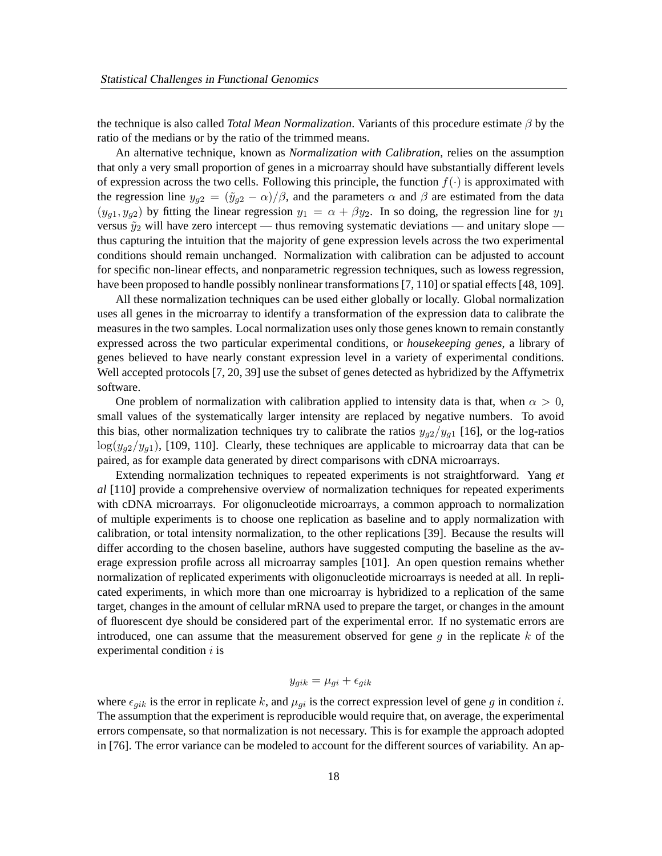the technique is also called *Total Mean Normalization*. Variants of this procedure estimate β by the ratio of the medians or by the ratio of the trimmed means.

An alternative technique, known as *Normalization with Calibration*, relies on the assumption that only a very small proportion of genes in a microarray should have substantially different levels of expression across the two cells. Following this principle, the function  $f(\cdot)$  is approximated with the regression line  $y_{g2} = (\tilde{y}_{g2} - \alpha)/\beta$ , and the parameters  $\alpha$  and  $\beta$  are estimated from the data  $(y_{g1}, y_{g2})$  by fitting the linear regression  $y_1 = \alpha + \beta y_2$ . In so doing, the regression line for  $y_1$ versus  $\tilde{y}_2$  will have zero intercept — thus removing systematic deviations — and unitary slope thus capturing the intuition that the majority of gene expression levels across the two experimental conditions should remain unchanged. Normalization with calibration can be adjusted to account for specific non-linear effects, and nonparametric regression techniques, such as lowess regression, have been proposed to handle possibly nonlinear transformations [7, 110] or spatial effects [48, 109].

All these normalization techniques can be used either globally or locally. Global normalization uses all genes in the microarray to identify a transformation of the expression data to calibrate the measures in the two samples. Local normalization uses only those genes known to remain constantly expressed across the two particular experimental conditions, or *housekeeping genes*, a library of genes believed to have nearly constant expression level in a variety of experimental conditions. Well accepted protocols [7, 20, 39] use the subset of genes detected as hybridized by the Affymetrix software.

One problem of normalization with calibration applied to intensity data is that, when  $\alpha > 0$ , small values of the systematically larger intensity are replaced by negative numbers. To avoid this bias, other normalization techniques try to calibrate the ratios  $y_{g2}/y_{g1}$  [16], or the log-ratios  $\log(y_{q2}/y_{q1})$ , [109, 110]. Clearly, these techniques are applicable to microarray data that can be paired, as for example data generated by direct comparisons with cDNA microarrays.

Extending normalization techniques to repeated experiments is not straightforward. Yang *et al* [110] provide a comprehensive overview of normalization techniques for repeated experiments with cDNA microarrays. For oligonucleotide microarrays, a common approach to normalization of multiple experiments is to choose one replication as baseline and to apply normalization with calibration, or total intensity normalization, to the other replications [39]. Because the results will differ according to the chosen baseline, authors have suggested computing the baseline as the average expression profile across all microarray samples [101]. An open question remains whether normalization of replicated experiments with oligonucleotide microarrays is needed at all. In replicated experiments, in which more than one microarray is hybridized to a replication of the same target, changes in the amount of cellular mRNA used to prepare the target, or changes in the amount of fluorescent dye should be considered part of the experimental error. If no systematic errors are introduced, one can assume that the measurement observed for gene  $q$  in the replicate  $k$  of the experimental condition  $i$  is

## $y_{qik} = \mu_{qi} + \epsilon_{qik}$

where  $\epsilon_{qik}$  is the error in replicate k, and  $\mu_{qi}$  is the correct expression level of gene g in condition i. The assumption that the experiment is reproducible would require that, on average, the experimental errors compensate, so that normalization is not necessary. This is for example the approach adopted in [76]. The error variance can be modeled to account for the different sources of variability. An ap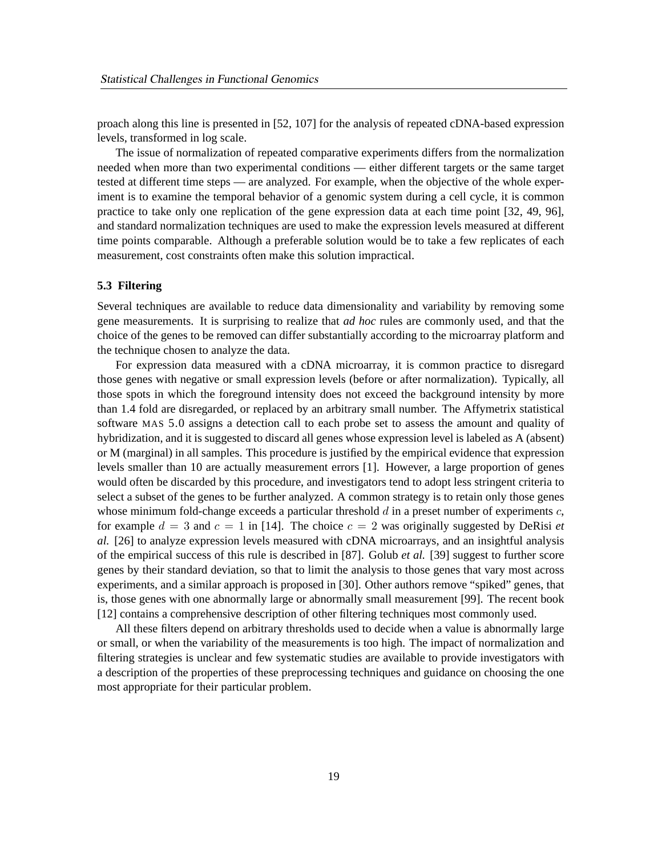proach along this line is presented in [52, 107] for the analysis of repeated cDNA-based expression levels, transformed in log scale.

The issue of normalization of repeated comparative experiments differs from the normalization needed when more than two experimental conditions — either different targets or the same target tested at different time steps — are analyzed. For example, when the objective of the whole experiment is to examine the temporal behavior of a genomic system during a cell cycle, it is common practice to take only one replication of the gene expression data at each time point [32, 49, 96], and standard normalization techniques are used to make the expression levels measured at different time points comparable. Although a preferable solution would be to take a few replicates of each measurement, cost constraints often make this solution impractical.

## **5.3 Filtering**

Several techniques are available to reduce data dimensionality and variability by removing some gene measurements. It is surprising to realize that *ad hoc* rules are commonly used, and that the choice of the genes to be removed can differ substantially according to the microarray platform and the technique chosen to analyze the data.

For expression data measured with a cDNA microarray, it is common practice to disregard those genes with negative or small expression levels (before or after normalization). Typically, all those spots in which the foreground intensity does not exceed the background intensity by more than 1.4 fold are disregarded, or replaced by an arbitrary small number. The Affymetrix statistical software MAS 5.0 assigns a detection call to each probe set to assess the amount and quality of hybridization, and it is suggested to discard all genes whose expression level is labeled as A (absent) or M (marginal) in all samples. This procedure is justified by the empirical evidence that expression levels smaller than 10 are actually measurement errors [1]. However, a large proportion of genes would often be discarded by this procedure, and investigators tend to adopt less stringent criteria to select a subset of the genes to be further analyzed. A common strategy is to retain only those genes whose minimum fold-change exceeds a particular threshold  $d$  in a preset number of experiments  $c$ , for example  $d = 3$  and  $c = 1$  in [14]. The choice  $c = 2$  was originally suggested by DeRisi *et al.* [26] to analyze expression levels measured with cDNA microarrays, and an insightful analysis of the empirical success of this rule is described in [87]. Golub *et al.* [39] suggest to further score genes by their standard deviation, so that to limit the analysis to those genes that vary most across experiments, and a similar approach is proposed in [30]. Other authors remove "spiked" genes, that is, those genes with one abnormally large or abnormally small measurement [99]. The recent book [12] contains a comprehensive description of other filtering techniques most commonly used.

All these filters depend on arbitrary thresholds used to decide when a value is abnormally large or small, or when the variability of the measurements is too high. The impact of normalization and filtering strategies is unclear and few systematic studies are available to provide investigators with a description of the properties of these preprocessing techniques and guidance on choosing the one most appropriate for their particular problem.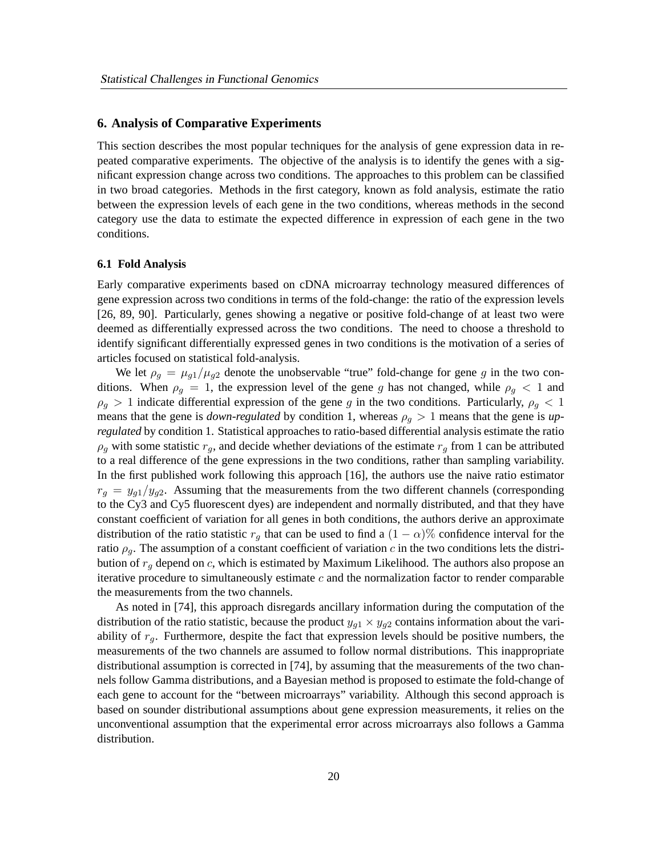#### **6. Analysis of Comparative Experiments**

This section describes the most popular techniques for the analysis of gene expression data in repeated comparative experiments. The objective of the analysis is to identify the genes with a significant expression change across two conditions. The approaches to this problem can be classified in two broad categories. Methods in the first category, known as fold analysis, estimate the ratio between the expression levels of each gene in the two conditions, whereas methods in the second category use the data to estimate the expected difference in expression of each gene in the two conditions.

#### **6.1 Fold Analysis**

Early comparative experiments based on cDNA microarray technology measured differences of gene expression across two conditions in terms of the fold-change: the ratio of the expression levels [26, 89, 90]. Particularly, genes showing a negative or positive fold-change of at least two were deemed as differentially expressed across the two conditions. The need to choose a threshold to identify significant differentially expressed genes in two conditions is the motivation of a series of articles focused on statistical fold-analysis.

We let  $\rho_g = \mu_{g1}/\mu_{g2}$  denote the unobservable "true" fold-change for gene g in the two conditions. When  $\rho_q = 1$ , the expression level of the gene g has not changed, while  $\rho_q < 1$  and  $\rho_q > 1$  indicate differential expression of the gene g in the two conditions. Particularly,  $\rho_q < 1$ means that the gene is *down-regulated* by condition 1, whereas  $\rho_q > 1$  means that the gene is *upregulated* by condition 1. Statistical approaches to ratio-based differential analysis estimate the ratio  $\rho_q$  with some statistic  $r_q$ , and decide whether deviations of the estimate  $r_q$  from 1 can be attributed to a real difference of the gene expressions in the two conditions, rather than sampling variability. In the first published work following this approach [16], the authors use the naive ratio estimator  $r_q = y_{q1}/y_{q2}$ . Assuming that the measurements from the two different channels (corresponding to the Cy3 and Cy5 fluorescent dyes) are independent and normally distributed, and that they have constant coefficient of variation for all genes in both conditions, the authors derive an approximate distribution of the ratio statistic  $r_q$  that can be used to find a  $(1 - \alpha)$ % confidence interval for the ratio  $\rho_q$ . The assumption of a constant coefficient of variation c in the two conditions lets the distribution of  $r<sub>g</sub>$  depend on c, which is estimated by Maximum Likelihood. The authors also propose an iterative procedure to simultaneously estimate  $c$  and the normalization factor to render comparable the measurements from the two channels.

As noted in [74], this approach disregards ancillary information during the computation of the distribution of the ratio statistic, because the product  $y_{q1} \times y_{q2}$  contains information about the variability of  $r_g$ . Furthermore, despite the fact that expression levels should be positive numbers, the measurements of the two channels are assumed to follow normal distributions. This inappropriate distributional assumption is corrected in [74], by assuming that the measurements of the two channels follow Gamma distributions, and a Bayesian method is proposed to estimate the fold-change of each gene to account for the "between microarrays" variability. Although this second approach is based on sounder distributional assumptions about gene expression measurements, it relies on the unconventional assumption that the experimental error across microarrays also follows a Gamma distribution.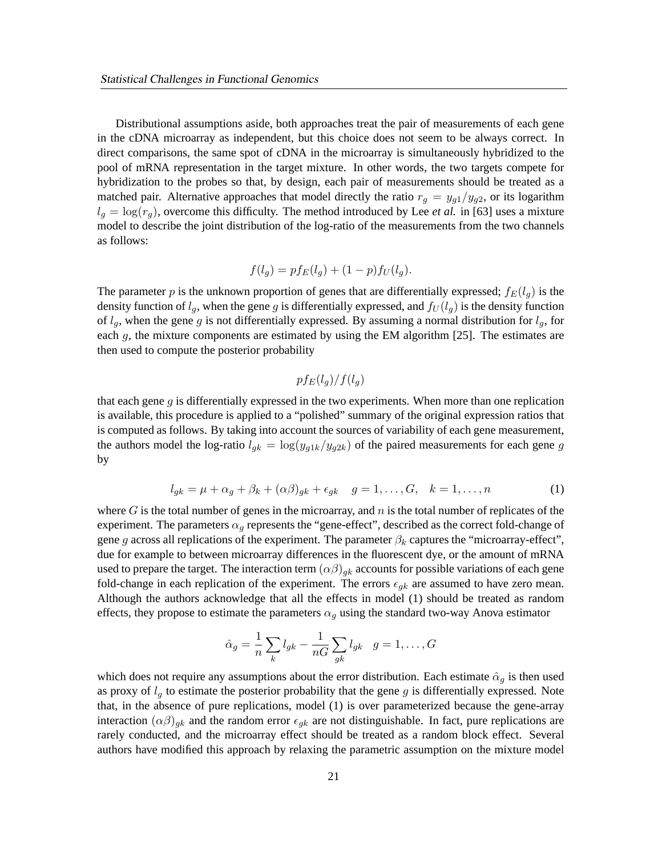Distributional assumptions aside, both approaches treat the pair of measurements of each gene in the cDNA microarray as independent, but this choice does not seem to be always correct. In direct comparisons, the same spot of cDNA in the microarray is simultaneously hybridized to the pool of mRNA representation in the target mixture. In other words, the two targets compete for hybridization to the probes so that, by design, each pair of measurements should be treated as a matched pair. Alternative approaches that model directly the ratio  $r_g = y_{g1}/y_{g2}$ , or its logarithm  $l_q = \log(r_q)$ , overcome this difficulty. The method introduced by Lee *et al.* in [63] uses a mixture model to describe the joint distribution of the log-ratio of the measurements from the two channels as follows:

$$
f(l_g) = p f_E(l_g) + (1 - p) f_U(l_g).
$$

The parameter p is the unknown proportion of genes that are differentially expressed;  $f_E(l_q)$  is the density function of  $l_g$ , when the gene g is differentially expressed, and  $f_U(l_g)$  is the density function of  $l_q$ , when the gene g is not differentially expressed. By assuming a normal distribution for  $l_q$ , for each  $g$ , the mixture components are estimated by using the EM algorithm [25]. The estimates are then used to compute the posterior probability

# $pf_E(l_q)/f(l_q)$

that each gene  $q$  is differentially expressed in the two experiments. When more than one replication is available, this procedure is applied to a "polished" summary of the original expression ratios that is computed as follows. By taking into account the sources of variability of each gene measurement, the authors model the log-ratio  $l_{qk} = \log(y_{q1k}/y_{q2k})$  of the paired measurements for each gene g by

$$
l_{gk} = \mu + \alpha_g + \beta_k + (\alpha \beta)_{gk} + \epsilon_{gk} \quad g = 1, \dots, G, \quad k = 1, \dots, n \tag{1}
$$

where  $G$  is the total number of genes in the microarray, and  $n$  is the total number of replicates of the experiment. The parameters  $\alpha_q$  represents the "gene-effect", described as the correct fold-change of gene g across all replications of the experiment. The parameter  $\beta_k$  captures the "microarray-effect", due for example to between microarray differences in the fluorescent dye, or the amount of mRNA used to prepare the target. The interaction term  $(\alpha \beta)_{gk}$  accounts for possible variations of each gene fold-change in each replication of the experiment. The errors  $\epsilon_{gk}$  are assumed to have zero mean. Although the authors acknowledge that all the effects in model (1) should be treated as random effects, they propose to estimate the parameters  $\alpha_q$  using the standard two-way Anova estimator

$$
\hat{\alpha}_g = \frac{1}{n} \sum_k l_{gk} - \frac{1}{nG} \sum_{gk} l_{gk} \quad g = 1, \dots, G
$$

which does not require any assumptions about the error distribution. Each estimate  $\hat{\alpha}_g$  is then used as proxy of  $l_q$  to estimate the posterior probability that the gene g is differentially expressed. Note that, in the absence of pure replications, model (1) is over parameterized because the gene-array interaction  $(\alpha\beta)_{gk}$  and the random error  $\epsilon_{gk}$  are not distinguishable. In fact, pure replications are rarely conducted, and the microarray effect should be treated as a random block effect. Several authors have modified this approach by relaxing the parametric assumption on the mixture model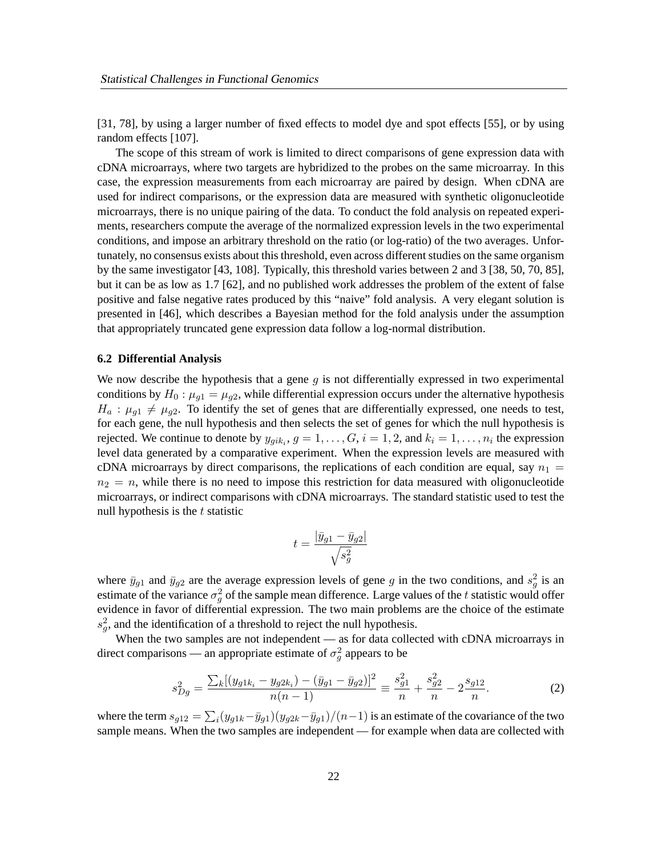[31, 78], by using a larger number of fixed effects to model dye and spot effects [55], or by using random effects [107].

The scope of this stream of work is limited to direct comparisons of gene expression data with cDNA microarrays, where two targets are hybridized to the probes on the same microarray. In this case, the expression measurements from each microarray are paired by design. When cDNA are used for indirect comparisons, or the expression data are measured with synthetic oligonucleotide microarrays, there is no unique pairing of the data. To conduct the fold analysis on repeated experiments, researchers compute the average of the normalized expression levels in the two experimental conditions, and impose an arbitrary threshold on the ratio (or log-ratio) of the two averages. Unfortunately, no consensus exists about this threshold, even across different studies on the same organism by the same investigator [43, 108]. Typically, this threshold varies between 2 and 3 [38, 50, 70, 85], but it can be as low as 1.7 [62], and no published work addresses the problem of the extent of false positive and false negative rates produced by this "naive" fold analysis. A very elegant solution is presented in [46], which describes a Bayesian method for the fold analysis under the assumption that appropriately truncated gene expression data follow a log-normal distribution.

## **6.2 Differential Analysis**

We now describe the hypothesis that a gene  $g$  is not differentially expressed in two experimental conditions by  $H_0: \mu_{q1} = \mu_{q2}$ , while differential expression occurs under the alternative hypothesis  $H_a: \mu_{g1} \neq \mu_{g2}$ . To identify the set of genes that are differentially expressed, one needs to test, for each gene, the null hypothesis and then selects the set of genes for which the null hypothesis is rejected. We continue to denote by  $y_{gik_i}$ ,  $g = 1, \ldots, G$ ,  $i = 1, 2$ , and  $k_i = 1, \ldots, n_i$  the expression level data generated by a comparative experiment. When the expression levels are measured with cDNA microarrays by direct comparisons, the replications of each condition are equal, say  $n_1 =$  $n_2 = n$ , while there is no need to impose this restriction for data measured with oligonucleotide microarrays, or indirect comparisons with cDNA microarrays. The standard statistic used to test the null hypothesis is the  $t$  statistic

$$
t = \frac{|\bar{y}_{g1} - \bar{y}_{g2}|}{\sqrt{s_g^2}}
$$

where  $\bar{y}_{g1}$  and  $\bar{y}_{g2}$  are the average expression levels of gene g in the two conditions, and  $s_g^2$  is an estimate of the variance  $\sigma_g^2$  of the sample mean difference. Large values of the t statistic would offer evidence in favor of differential expression. The two main problems are the choice of the estimate  $s_g^2$ , and the identification of a threshold to reject the null hypothesis.

When the two samples are not independent — as for data collected with cDNA microarrays in direct comparisons — an appropriate estimate of  $\sigma_g^2$  appears to be

$$
s_{Dg}^2 = \frac{\sum_{k} [(y_{g1k_i} - y_{g2k_i}) - (\bar{y}_{g1} - \bar{y}_{g2})]^2}{n(n-1)} \equiv \frac{s_{g1}^2}{n} + \frac{s_{g2}^2}{n} - 2\frac{s_{g12}}{n}.
$$
 (2)

where the term  $s_{g12} = \sum_i (y_{g1k}-\bar{y}_{g1})(y_{g2k}-\bar{y}_{g1})/(n-1)$  is an estimate of the covariance of the two sample means. When the two samples are independent — for example when data are collected with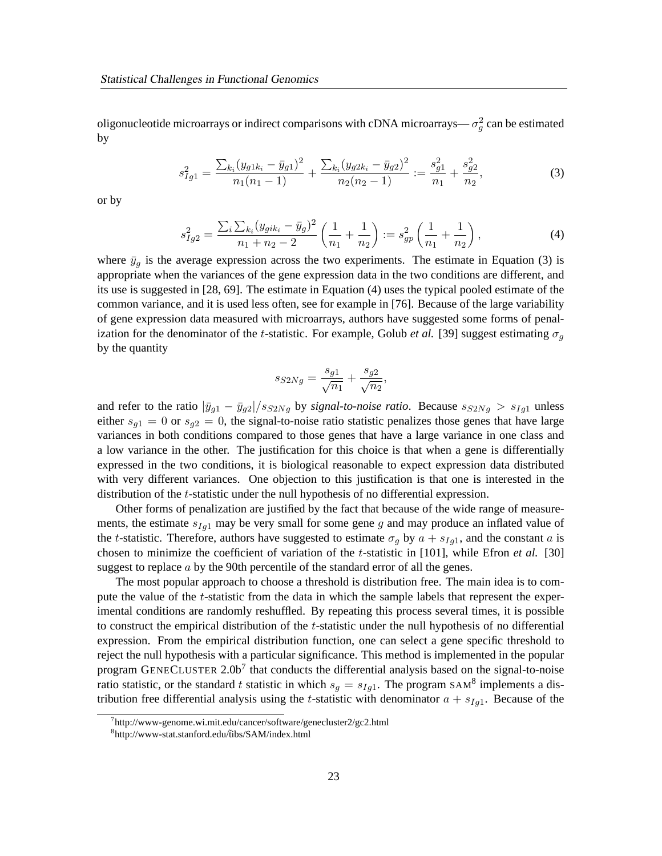oligonucleotide microarrays or indirect comparisons with cDNA microarrays—  $\sigma_g^2$  can be estimated by

$$
s_{Ig1}^2 = \frac{\sum_{k_i} (y_{g1k_i} - \bar{y}_{g1})^2}{n_1(n_1 - 1)} + \frac{\sum_{k_i} (y_{g2k_i} - \bar{y}_{g2})^2}{n_2(n_2 - 1)} := \frac{s_{g1}^2}{n_1} + \frac{s_{g2}^2}{n_2},
$$
(3)

or by

$$
s_{Ig2}^2 = \frac{\sum_i \sum_{k_i} (y_{gik_i} - \bar{y}_g)^2}{n_1 + n_2 - 2} \left( \frac{1}{n_1} + \frac{1}{n_2} \right) := s_{gp}^2 \left( \frac{1}{n_1} + \frac{1}{n_2} \right),\tag{4}
$$

where  $\bar{y}_g$  is the average expression across the two experiments. The estimate in Equation (3) is appropriate when the variances of the gene expression data in the two conditions are different, and its use is suggested in [28, 69]. The estimate in Equation (4) uses the typical pooled estimate of the common variance, and it is used less often, see for example in [76]. Because of the large variability of gene expression data measured with microarrays, authors have suggested some forms of penalization for the denominator of the t-statistic. For example, Golub *et al.* [39] suggest estimating  $\sigma_q$ by the quantity

$$
s_{S2Ng} = \frac{s_{g1}}{\sqrt{n_1}} + \frac{s_{g2}}{\sqrt{n_2}},
$$

and refer to the ratio  $|\bar{y}_{g1} - \bar{y}_{g2}|/s_{S2Ng}$  by *signal-to-noise ratio*. Because  $s_{S2Ng} > s_{Ig1}$  unless either  $s_{q1} = 0$  or  $s_{q2} = 0$ , the signal-to-noise ratio statistic penalizes those genes that have large variances in both conditions compared to those genes that have a large variance in one class and a low variance in the other. The justification for this choice is that when a gene is differentially expressed in the two conditions, it is biological reasonable to expect expression data distributed with very different variances. One objection to this justification is that one is interested in the distribution of the *t*-statistic under the null hypothesis of no differential expression.

Other forms of penalization are justified by the fact that because of the wide range of measurements, the estimate  $s_{Ig1}$  may be very small for some gene g and may produce an inflated value of the t-statistic. Therefore, authors have suggested to estimate  $\sigma_g$  by  $a + s_{Ig1}$ , and the constant a is chosen to minimize the coefficient of variation of the t-statistic in [101], while Efron *et al.* [30] suggest to replace  $\alpha$  by the 90th percentile of the standard error of all the genes.

The most popular approach to choose a threshold is distribution free. The main idea is to compute the value of the t-statistic from the data in which the sample labels that represent the experimental conditions are randomly reshuffled. By repeating this process several times, it is possible to construct the empirical distribution of the  $t$ -statistic under the null hypothesis of no differential expression. From the empirical distribution function, one can select a gene specific threshold to reject the null hypothesis with a particular significance. This method is implemented in the popular program GENECLUSTER  $2.0<sup>5</sup>$  that conducts the differential analysis based on the signal-to-noise ratio statistic, or the standard t statistic in which  $s_g = s_{Ig1}$ . The program SAM<sup>8</sup> implements a distribution free differential analysis using the *t*-statistic with denominator  $a + s_{Iq1}$ . Because of the

<sup>7</sup> http://www-genome.wi.mit.edu/cancer/software/genecluster2/gc2.html

<sup>8</sup> http://www-stat.stanford.edu/˜tibs/SAM/index.html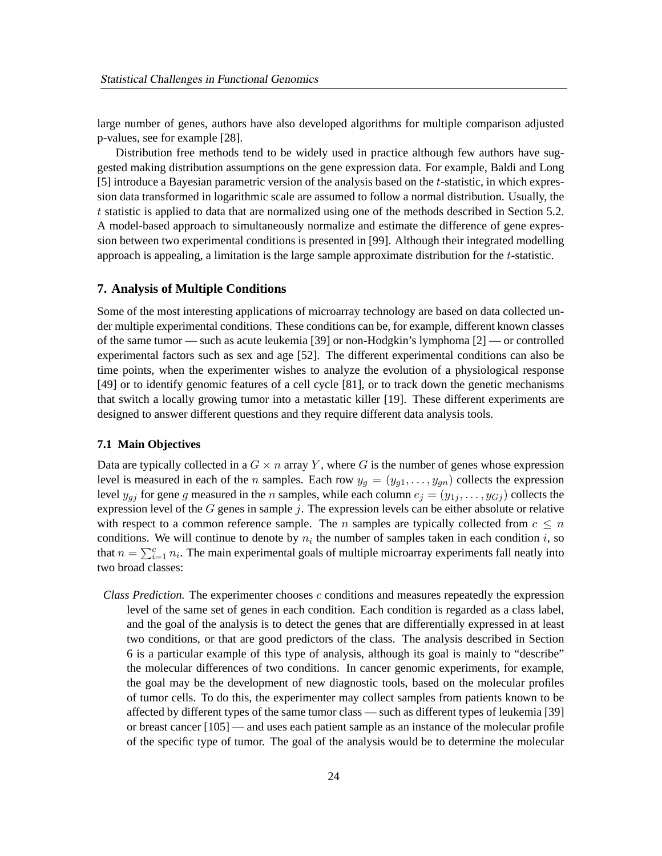large number of genes, authors have also developed algorithms for multiple comparison adjusted p-values, see for example [28].

Distribution free methods tend to be widely used in practice although few authors have suggested making distribution assumptions on the gene expression data. For example, Baldi and Long [5] introduce a Bayesian parametric version of the analysis based on the t-statistic, in which expression data transformed in logarithmic scale are assumed to follow a normal distribution. Usually, the t statistic is applied to data that are normalized using one of the methods described in Section 5.2. A model-based approach to simultaneously normalize and estimate the difference of gene expression between two experimental conditions is presented in [99]. Although their integrated modelling approach is appealing, a limitation is the large sample approximate distribution for the  $t$ -statistic.

# **7. Analysis of Multiple Conditions**

Some of the most interesting applications of microarray technology are based on data collected under multiple experimental conditions. These conditions can be, for example, different known classes of the same tumor — such as acute leukemia [39] or non-Hodgkin's lymphoma [2] — or controlled experimental factors such as sex and age [52]. The different experimental conditions can also be time points, when the experimenter wishes to analyze the evolution of a physiological response [49] or to identify genomic features of a cell cycle [81], or to track down the genetic mechanisms that switch a locally growing tumor into a metastatic killer [19]. These different experiments are designed to answer different questions and they require different data analysis tools.

#### **7.1 Main Objectives**

Data are typically collected in a  $G \times n$  array Y, where G is the number of genes whose expression level is measured in each of the *n* samples. Each row  $y_g = (y_{g1}, \ldots, y_{gn})$  collects the expression level  $y_{qj}$  for gene g measured in the n samples, while each column  $e_j = (y_{1j}, \ldots, y_{Gj})$  collects the expression level of the  $G$  genes in sample  $j$ . The expression levels can be either absolute or relative with respect to a common reference sample. The n samples are typically collected from  $c \leq n$ conditions. We will continue to denote by  $n_i$  the number of samples taken in each condition i, so that  $n = \sum_{i=1}^{c} n_i$ . The main experimental goals of multiple microarray experiments fall neatly into two broad classes:

*Class Prediction.* The experimenter chooses c conditions and measures repeatedly the expression level of the same set of genes in each condition. Each condition is regarded as a class label, and the goal of the analysis is to detect the genes that are differentially expressed in at least two conditions, or that are good predictors of the class. The analysis described in Section 6 is a particular example of this type of analysis, although its goal is mainly to "describe" the molecular differences of two conditions. In cancer genomic experiments, for example, the goal may be the development of new diagnostic tools, based on the molecular profiles of tumor cells. To do this, the experimenter may collect samples from patients known to be affected by different types of the same tumor class — such as different types of leukemia [39] or breast cancer [105] — and uses each patient sample as an instance of the molecular profile of the specific type of tumor. The goal of the analysis would be to determine the molecular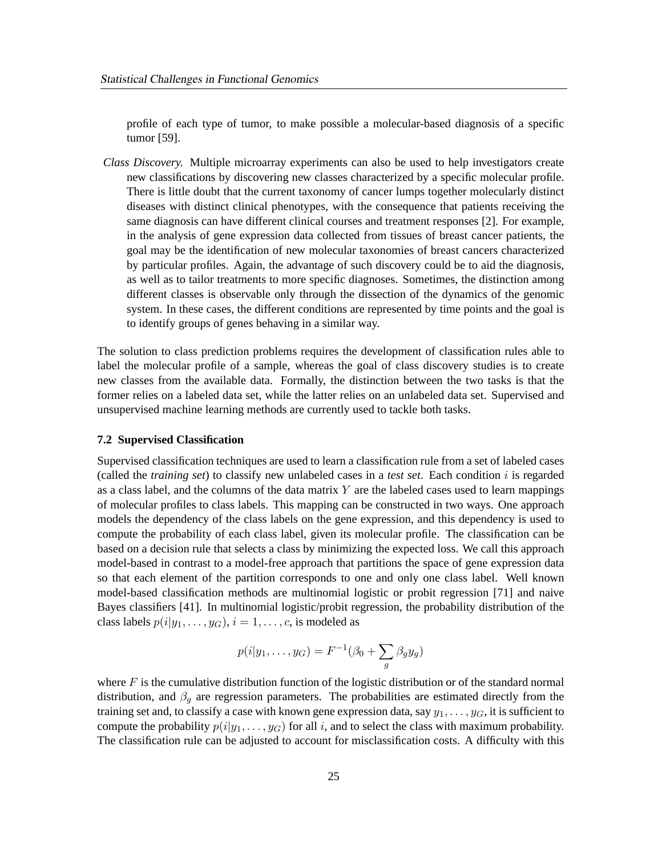profile of each type of tumor, to make possible a molecular-based diagnosis of a specific tumor [59].

*Class Discovery.* Multiple microarray experiments can also be used to help investigators create new classifications by discovering new classes characterized by a specific molecular profile. There is little doubt that the current taxonomy of cancer lumps together molecularly distinct diseases with distinct clinical phenotypes, with the consequence that patients receiving the same diagnosis can have different clinical courses and treatment responses [2]. For example, in the analysis of gene expression data collected from tissues of breast cancer patients, the goal may be the identification of new molecular taxonomies of breast cancers characterized by particular profiles. Again, the advantage of such discovery could be to aid the diagnosis, as well as to tailor treatments to more specific diagnoses. Sometimes, the distinction among different classes is observable only through the dissection of the dynamics of the genomic system. In these cases, the different conditions are represented by time points and the goal is to identify groups of genes behaving in a similar way.

The solution to class prediction problems requires the development of classification rules able to label the molecular profile of a sample, whereas the goal of class discovery studies is to create new classes from the available data. Formally, the distinction between the two tasks is that the former relies on a labeled data set, while the latter relies on an unlabeled data set. Supervised and unsupervised machine learning methods are currently used to tackle both tasks.

#### **7.2 Supervised Classification**

Supervised classification techniques are used to learn a classification rule from a set of labeled cases (called the *training set*) to classify new unlabeled cases in a *test set*. Each condition i is regarded as a class label, and the columns of the data matrix  $Y$  are the labeled cases used to learn mappings of molecular profiles to class labels. This mapping can be constructed in two ways. One approach models the dependency of the class labels on the gene expression, and this dependency is used to compute the probability of each class label, given its molecular profile. The classification can be based on a decision rule that selects a class by minimizing the expected loss. We call this approach model-based in contrast to a model-free approach that partitions the space of gene expression data so that each element of the partition corresponds to one and only one class label. Well known model-based classification methods are multinomial logistic or probit regression [71] and naive Bayes classifiers [41]. In multinomial logistic/probit regression, the probability distribution of the class labels  $p(i|y_1, \ldots, y_G)$ ,  $i = 1, \ldots, c$ , is modeled as

$$
p(i|y_1,\ldots,y_G) = F^{-1}(\beta_0 + \sum_g \beta_g y_g)
$$

where  $F$  is the cumulative distribution function of the logistic distribution or of the standard normal distribution, and  $\beta_q$  are regression parameters. The probabilities are estimated directly from the training set and, to classify a case with known gene expression data, say  $y_1, \ldots, y_G$ , it is sufficient to compute the probability  $p(i|y_1, \ldots, y_G)$  for all i, and to select the class with maximum probability. The classification rule can be adjusted to account for misclassification costs. A difficulty with this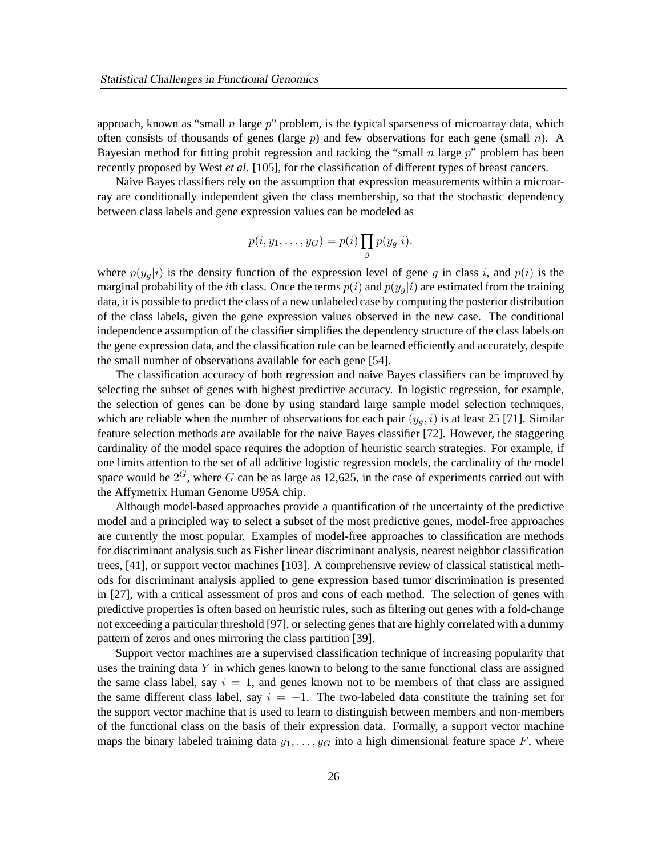approach, known as "small n large  $p$ " problem, is the typical sparseness of microarray data, which often consists of thousands of genes (large p) and few observations for each gene (small n). A Bayesian method for fitting probit regression and tacking the "small n large  $p$ " problem has been recently proposed by West *et al.* [105], for the classification of different types of breast cancers.

Naive Bayes classifiers rely on the assumption that expression measurements within a microarray are conditionally independent given the class membership, so that the stochastic dependency between class labels and gene expression values can be modeled as

$$
p(i, y_1, \ldots, y_G) = p(i) \prod_g p(y_g|i).
$$

where  $p(y_q|i)$  is the density function of the expression level of gene g in class i, and  $p(i)$  is the marginal probability of the *i*th class. Once the terms  $p(i)$  and  $p(y<sub>g</sub>|i)$  are estimated from the training data, it is possible to predict the class of a new unlabeled case by computing the posterior distribution of the class labels, given the gene expression values observed in the new case. The conditional independence assumption of the classifier simplifies the dependency structure of the class labels on the gene expression data, and the classification rule can be learned efficiently and accurately, despite the small number of observations available for each gene [54].

The classification accuracy of both regression and naive Bayes classifiers can be improved by selecting the subset of genes with highest predictive accuracy. In logistic regression, for example, the selection of genes can be done by using standard large sample model selection techniques, which are reliable when the number of observations for each pair  $(y_g, i)$  is at least 25 [71]. Similar feature selection methods are available for the naive Bayes classifier [72]. However, the staggering cardinality of the model space requires the adoption of heuristic search strategies. For example, if one limits attention to the set of all additive logistic regression models, the cardinality of the model space would be  $2^G$ , where G can be as large as 12,625, in the case of experiments carried out with the Affymetrix Human Genome U95A chip.

Although model-based approaches provide a quantification of the uncertainty of the predictive model and a principled way to select a subset of the most predictive genes, model-free approaches are currently the most popular. Examples of model-free approaches to classification are methods for discriminant analysis such as Fisher linear discriminant analysis, nearest neighbor classification trees, [41], or support vector machines [103]. A comprehensive review of classical statistical methods for discriminant analysis applied to gene expression based tumor discrimination is presented in [27], with a critical assessment of pros and cons of each method. The selection of genes with predictive properties is often based on heuristic rules, such as filtering out genes with a fold-change not exceeding a particular threshold [97], or selecting genes that are highly correlated with a dummy pattern of zeros and ones mirroring the class partition [39].

Support vector machines are a supervised classification technique of increasing popularity that uses the training data  $Y$  in which genes known to belong to the same functional class are assigned the same class label, say  $i = 1$ , and genes known not to be members of that class are assigned the same different class label, say  $i = -1$ . The two-labeled data constitute the training set for the support vector machine that is used to learn to distinguish between members and non-members of the functional class on the basis of their expression data. Formally, a support vector machine maps the binary labeled training data  $y_1, \ldots, y_G$  into a high dimensional feature space F, where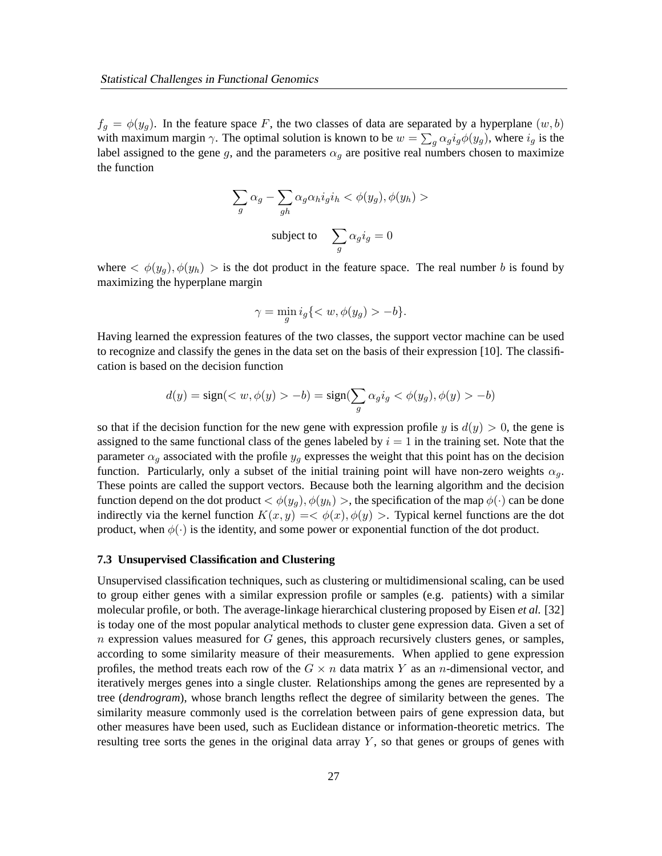$f_g = \phi(y_g)$ . In the feature space F, the two classes of data are separated by a hyperplane  $(w, b)$ with maximum margin  $\gamma$ . The optimal solution is known to be  $w = \sum_g \alpha_g i_g \phi(y_g)$ , where  $i_g$  is the label assigned to the gene g, and the parameters  $\alpha_q$  are positive real numbers chosen to maximize the function

$$
\sum_{g} \alpha_g - \sum_{gh} \alpha_g \alpha_h i_g i_h < \phi(y_g), \phi(y_h) > \\
\text{subject to} \quad \sum_g \alpha_g i_g = 0
$$

where  $\langle \phi(y_g), \phi(y_h) \rangle$  is the dot product in the feature space. The real number b is found by maximizing the hyperplane margin

$$
\gamma = \min_{g} i_g \{ \langle w, \phi(y_g) \rangle - b \}.
$$

Having learned the expression features of the two classes, the support vector machine can be used to recognize and classify the genes in the data set on the basis of their expression [10]. The classification is based on the decision function

$$
d(y) = sign( -b) = sign(\sum_{g} \alpha_g i_g < \phi(y_g), \phi(y) > -b)
$$

so that if the decision function for the new gene with expression profile y is  $d(y) > 0$ , the gene is assigned to the same functional class of the genes labeled by  $i = 1$  in the training set. Note that the parameter  $\alpha_q$  associated with the profile  $y_q$  expresses the weight that this point has on the decision function. Particularly, only a subset of the initial training point will have non-zero weights  $\alpha_q$ . These points are called the support vectors. Because both the learning algorithm and the decision function depend on the dot product  $\langle \phi(y_a), \phi(y_b) \rangle$ , the specification of the map  $\phi(\cdot)$  can be done indirectly via the kernel function  $K(x, y) = \langle \phi(x), \phi(y) \rangle$ . Typical kernel functions are the dot product, when  $\phi(\cdot)$  is the identity, and some power or exponential function of the dot product.

## **7.3 Unsupervised Classification and Clustering**

Unsupervised classification techniques, such as clustering or multidimensional scaling, can be used to group either genes with a similar expression profile or samples (e.g. patients) with a similar molecular profile, or both. The average-linkage hierarchical clustering proposed by Eisen *et al.* [32] is today one of the most popular analytical methods to cluster gene expression data. Given a set of  $n$  expression values measured for  $G$  genes, this approach recursively clusters genes, or samples, according to some similarity measure of their measurements. When applied to gene expression profiles, the method treats each row of the  $G \times n$  data matrix Y as an *n*-dimensional vector, and iteratively merges genes into a single cluster. Relationships among the genes are represented by a tree (*dendrogram*), whose branch lengths reflect the degree of similarity between the genes. The similarity measure commonly used is the correlation between pairs of gene expression data, but other measures have been used, such as Euclidean distance or information-theoretic metrics. The resulting tree sorts the genes in the original data array  $Y$ , so that genes or groups of genes with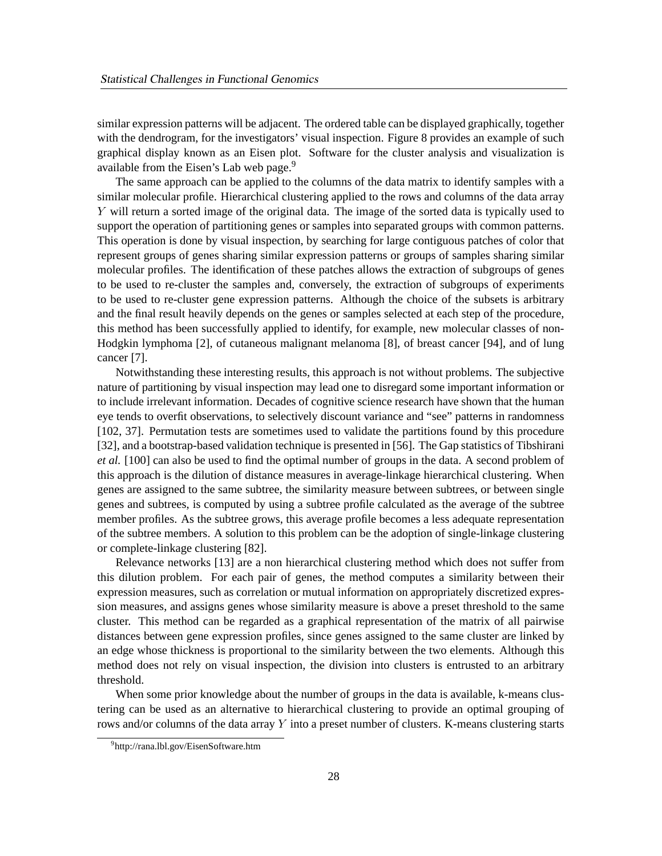similar expression patterns will be adjacent. The ordered table can be displayed graphically, together with the dendrogram, for the investigators' visual inspection. Figure 8 provides an example of such graphical display known as an Eisen plot. Software for the cluster analysis and visualization is available from the Eisen's Lab web page.<sup>9</sup>

The same approach can be applied to the columns of the data matrix to identify samples with a similar molecular profile. Hierarchical clustering applied to the rows and columns of the data array Y will return a sorted image of the original data. The image of the sorted data is typically used to support the operation of partitioning genes or samples into separated groups with common patterns. This operation is done by visual inspection, by searching for large contiguous patches of color that represent groups of genes sharing similar expression patterns or groups of samples sharing similar molecular profiles. The identification of these patches allows the extraction of subgroups of genes to be used to re-cluster the samples and, conversely, the extraction of subgroups of experiments to be used to re-cluster gene expression patterns. Although the choice of the subsets is arbitrary and the final result heavily depends on the genes or samples selected at each step of the procedure, this method has been successfully applied to identify, for example, new molecular classes of non-Hodgkin lymphoma [2], of cutaneous malignant melanoma [8], of breast cancer [94], and of lung cancer [7].

Notwithstanding these interesting results, this approach is not without problems. The subjective nature of partitioning by visual inspection may lead one to disregard some important information or to include irrelevant information. Decades of cognitive science research have shown that the human eye tends to overfit observations, to selectively discount variance and "see" patterns in randomness [102, 37]. Permutation tests are sometimes used to validate the partitions found by this procedure [32], and a bootstrap-based validation technique is presented in [56]. The Gap statistics of Tibshirani *et al.* [100] can also be used to find the optimal number of groups in the data. A second problem of this approach is the dilution of distance measures in average-linkage hierarchical clustering. When genes are assigned to the same subtree, the similarity measure between subtrees, or between single genes and subtrees, is computed by using a subtree profile calculated as the average of the subtree member profiles. As the subtree grows, this average profile becomes a less adequate representation of the subtree members. A solution to this problem can be the adoption of single-linkage clustering or complete-linkage clustering [82].

Relevance networks [13] are a non hierarchical clustering method which does not suffer from this dilution problem. For each pair of genes, the method computes a similarity between their expression measures, such as correlation or mutual information on appropriately discretized expression measures, and assigns genes whose similarity measure is above a preset threshold to the same cluster. This method can be regarded as a graphical representation of the matrix of all pairwise distances between gene expression profiles, since genes assigned to the same cluster are linked by an edge whose thickness is proportional to the similarity between the two elements. Although this method does not rely on visual inspection, the division into clusters is entrusted to an arbitrary threshold.

When some prior knowledge about the number of groups in the data is available, k-means clustering can be used as an alternative to hierarchical clustering to provide an optimal grouping of rows and/or columns of the data array  $Y$  into a preset number of clusters. K-means clustering starts

<sup>9</sup> http://rana.lbl.gov/EisenSoftware.htm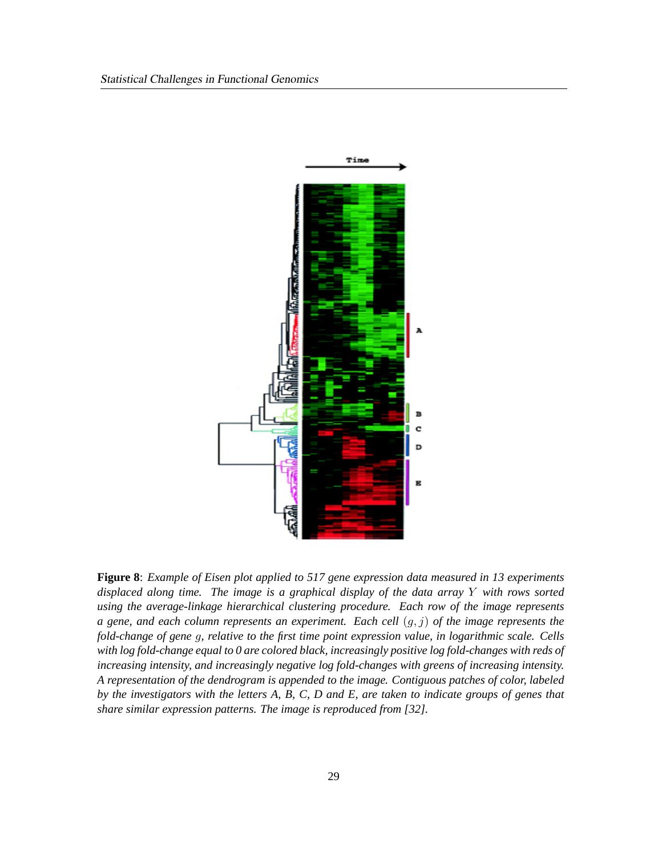

**Figure 8**: *Example of Eisen plot applied to 517 gene expression data measured in 13 experiments displaced along time. The image is a graphical display of the data array* Y *with rows sorted using the average-linkage hierarchical clustering procedure. Each row of the image represents a gene, and each column represents an experiment. Each cell* (g, j) *of the image represents the fold-change of gene* g*, relative to the first time point expression value, in logarithmic scale. Cells with log fold-change equal to 0 are colored black, increasingly positive log fold-changes with reds of increasing intensity, and increasingly negative log fold-changes with greens of increasing intensity. A representation of the dendrogram is appended to the image. Contiguous patches of color, labeled by the investigators with the letters A, B, C, D and E, are taken to indicate groups of genes that share similar expression patterns. The image is reproduced from [32].*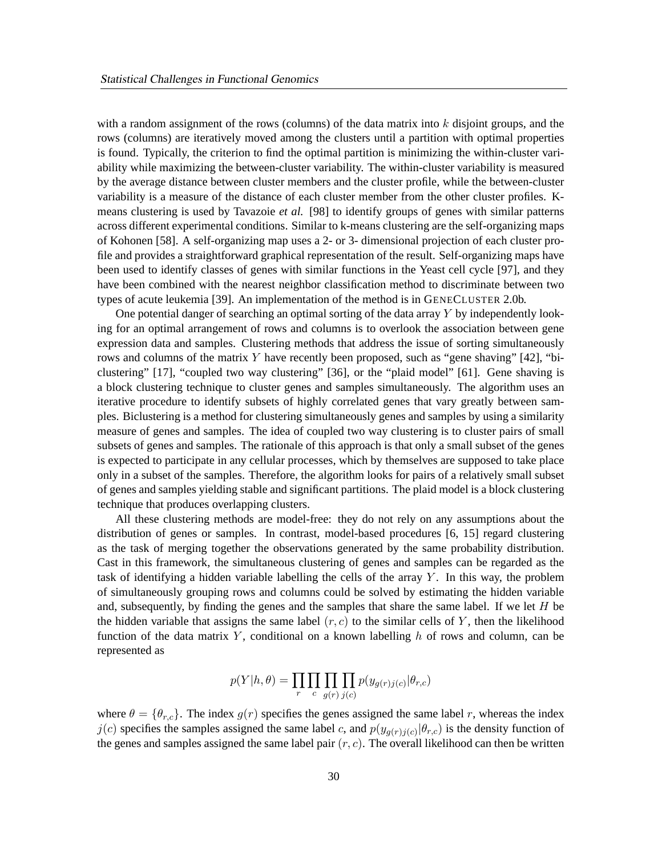with a random assignment of the rows (columns) of the data matrix into  $k$  disjoint groups, and the rows (columns) are iteratively moved among the clusters until a partition with optimal properties is found. Typically, the criterion to find the optimal partition is minimizing the within-cluster variability while maximizing the between-cluster variability. The within-cluster variability is measured by the average distance between cluster members and the cluster profile, while the between-cluster variability is a measure of the distance of each cluster member from the other cluster profiles. Kmeans clustering is used by Tavazoie *et al.* [98] to identify groups of genes with similar patterns across different experimental conditions. Similar to k-means clustering are the self-organizing maps of Kohonen [58]. A self-organizing map uses a 2- or 3- dimensional projection of each cluster profile and provides a straightforward graphical representation of the result. Self-organizing maps have been used to identify classes of genes with similar functions in the Yeast cell cycle [97], and they have been combined with the nearest neighbor classification method to discriminate between two types of acute leukemia [39]. An implementation of the method is in GENECLUSTER 2.0b.

One potential danger of searching an optimal sorting of the data array  $Y$  by independently looking for an optimal arrangement of rows and columns is to overlook the association between gene expression data and samples. Clustering methods that address the issue of sorting simultaneously rows and columns of the matrix Y have recently been proposed, such as "gene shaving"  $[42]$ , "biclustering" [17], "coupled two way clustering" [36], or the "plaid model" [61]. Gene shaving is a block clustering technique to cluster genes and samples simultaneously. The algorithm uses an iterative procedure to identify subsets of highly correlated genes that vary greatly between samples. Biclustering is a method for clustering simultaneously genes and samples by using a similarity measure of genes and samples. The idea of coupled two way clustering is to cluster pairs of small subsets of genes and samples. The rationale of this approach is that only a small subset of the genes is expected to participate in any cellular processes, which by themselves are supposed to take place only in a subset of the samples. Therefore, the algorithm looks for pairs of a relatively small subset of genes and samples yielding stable and significant partitions. The plaid model is a block clustering technique that produces overlapping clusters.

All these clustering methods are model-free: they do not rely on any assumptions about the distribution of genes or samples. In contrast, model-based procedures [6, 15] regard clustering as the task of merging together the observations generated by the same probability distribution. Cast in this framework, the simultaneous clustering of genes and samples can be regarded as the task of identifying a hidden variable labelling the cells of the array  $Y$ . In this way, the problem of simultaneously grouping rows and columns could be solved by estimating the hidden variable and, subsequently, by finding the genes and the samples that share the same label. If we let  $H$  be the hidden variable that assigns the same label  $(r, c)$  to the similar cells of Y, then the likelihood function of the data matrix Y, conditional on a known labelling  $h$  of rows and column, can be represented as

$$
p(Y|h,\theta) = \prod_{r} \prod_{c} \prod_{g(r)} \prod_{j(c)} p(y_{g(r)j(c)}|\theta_{r,c})
$$

where  $\theta = {\theta_{r,c}}$ . The index  $g(r)$  specifies the genes assigned the same label r, whereas the index  $j(c)$  specifies the samples assigned the same label c, and  $p(y_{g(r)j(c)}|\theta_{r,c})$  is the density function of the genes and samples assigned the same label pair  $(r, c)$ . The overall likelihood can then be written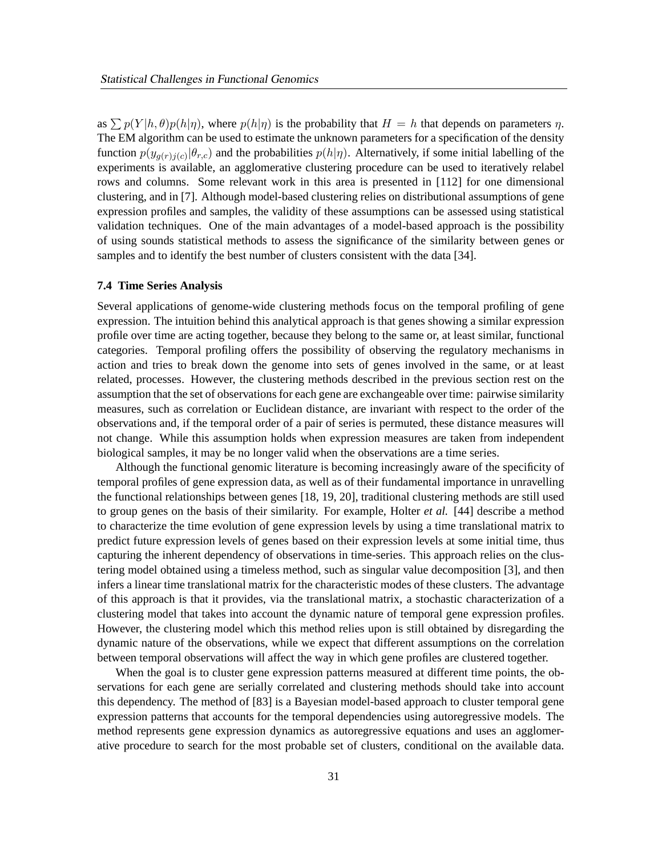as  $\sum p(Y|h, \theta)p(h|\eta)$ , where  $p(h|\eta)$  is the probability that  $H = h$  that depends on parameters  $\eta$ . The EM algorithm can be used to estimate the unknown parameters for a specification of the density function  $p(y_{g(r)j(c)}|\theta_{r,c})$  and the probabilities  $p(h|\eta)$ . Alternatively, if some initial labelling of the experiments is available, an agglomerative clustering procedure can be used to iteratively relabel rows and columns. Some relevant work in this area is presented in [112] for one dimensional clustering, and in [7]. Although model-based clustering relies on distributional assumptions of gene expression profiles and samples, the validity of these assumptions can be assessed using statistical validation techniques. One of the main advantages of a model-based approach is the possibility of using sounds statistical methods to assess the significance of the similarity between genes or samples and to identify the best number of clusters consistent with the data [34].

#### **7.4 Time Series Analysis**

Several applications of genome-wide clustering methods focus on the temporal profiling of gene expression. The intuition behind this analytical approach is that genes showing a similar expression profile over time are acting together, because they belong to the same or, at least similar, functional categories. Temporal profiling offers the possibility of observing the regulatory mechanisms in action and tries to break down the genome into sets of genes involved in the same, or at least related, processes. However, the clustering methods described in the previous section rest on the assumption that the set of observations for each gene are exchangeable over time: pairwise similarity measures, such as correlation or Euclidean distance, are invariant with respect to the order of the observations and, if the temporal order of a pair of series is permuted, these distance measures will not change. While this assumption holds when expression measures are taken from independent biological samples, it may be no longer valid when the observations are a time series.

Although the functional genomic literature is becoming increasingly aware of the specificity of temporal profiles of gene expression data, as well as of their fundamental importance in unravelling the functional relationships between genes [18, 19, 20], traditional clustering methods are still used to group genes on the basis of their similarity. For example, Holter *et al.* [44] describe a method to characterize the time evolution of gene expression levels by using a time translational matrix to predict future expression levels of genes based on their expression levels at some initial time, thus capturing the inherent dependency of observations in time-series. This approach relies on the clustering model obtained using a timeless method, such as singular value decomposition [3], and then infers a linear time translational matrix for the characteristic modes of these clusters. The advantage of this approach is that it provides, via the translational matrix, a stochastic characterization of a clustering model that takes into account the dynamic nature of temporal gene expression profiles. However, the clustering model which this method relies upon is still obtained by disregarding the dynamic nature of the observations, while we expect that different assumptions on the correlation between temporal observations will affect the way in which gene profiles are clustered together.

When the goal is to cluster gene expression patterns measured at different time points, the observations for each gene are serially correlated and clustering methods should take into account this dependency. The method of [83] is a Bayesian model-based approach to cluster temporal gene expression patterns that accounts for the temporal dependencies using autoregressive models. The method represents gene expression dynamics as autoregressive equations and uses an agglomerative procedure to search for the most probable set of clusters, conditional on the available data.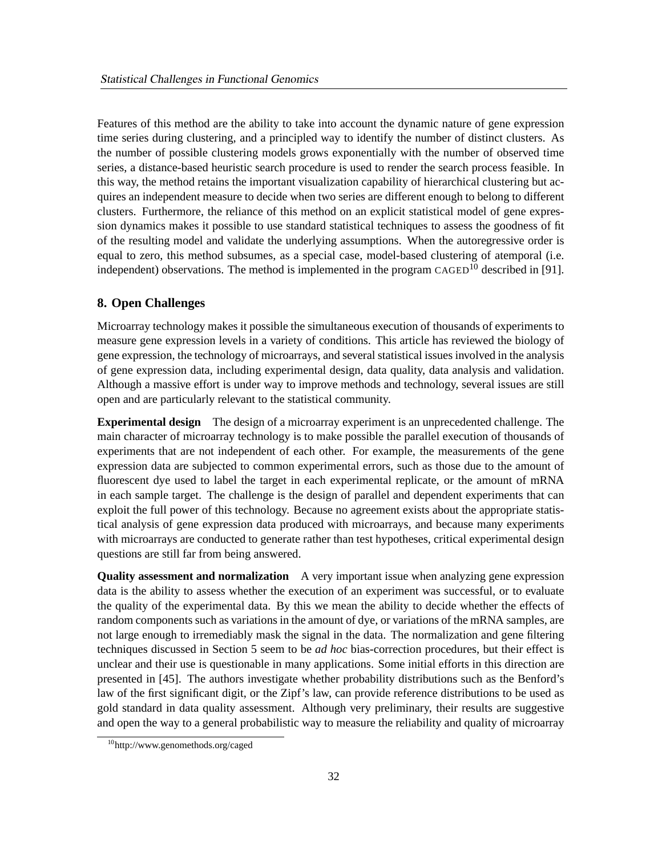Features of this method are the ability to take into account the dynamic nature of gene expression time series during clustering, and a principled way to identify the number of distinct clusters. As the number of possible clustering models grows exponentially with the number of observed time series, a distance-based heuristic search procedure is used to render the search process feasible. In this way, the method retains the important visualization capability of hierarchical clustering but acquires an independent measure to decide when two series are different enough to belong to different clusters. Furthermore, the reliance of this method on an explicit statistical model of gene expression dynamics makes it possible to use standard statistical techniques to assess the goodness of fit of the resulting model and validate the underlying assumptions. When the autoregressive order is equal to zero, this method subsumes, as a special case, model-based clustering of atemporal (i.e. independent) observations. The method is implemented in the program  $CAGED<sup>10</sup>$  described in [91].

# **8. Open Challenges**

Microarray technology makes it possible the simultaneous execution of thousands of experiments to measure gene expression levels in a variety of conditions. This article has reviewed the biology of gene expression, the technology of microarrays, and several statistical issues involved in the analysis of gene expression data, including experimental design, data quality, data analysis and validation. Although a massive effort is under way to improve methods and technology, several issues are still open and are particularly relevant to the statistical community.

**Experimental design** The design of a microarray experiment is an unprecedented challenge. The main character of microarray technology is to make possible the parallel execution of thousands of experiments that are not independent of each other. For example, the measurements of the gene expression data are subjected to common experimental errors, such as those due to the amount of fluorescent dye used to label the target in each experimental replicate, or the amount of mRNA in each sample target. The challenge is the design of parallel and dependent experiments that can exploit the full power of this technology. Because no agreement exists about the appropriate statistical analysis of gene expression data produced with microarrays, and because many experiments with microarrays are conducted to generate rather than test hypotheses, critical experimental design questions are still far from being answered.

**Quality assessment and normalization** A very important issue when analyzing gene expression data is the ability to assess whether the execution of an experiment was successful, or to evaluate the quality of the experimental data. By this we mean the ability to decide whether the effects of random components such as variations in the amount of dye, or variations of the mRNA samples, are not large enough to irremediably mask the signal in the data. The normalization and gene filtering techniques discussed in Section 5 seem to be *ad hoc* bias-correction procedures, but their effect is unclear and their use is questionable in many applications. Some initial efforts in this direction are presented in [45]. The authors investigate whether probability distributions such as the Benford's law of the first significant digit, or the Zipf's law, can provide reference distributions to be used as gold standard in data quality assessment. Although very preliminary, their results are suggestive and open the way to a general probabilistic way to measure the reliability and quality of microarray

<sup>10</sup>http://www.genomethods.org/caged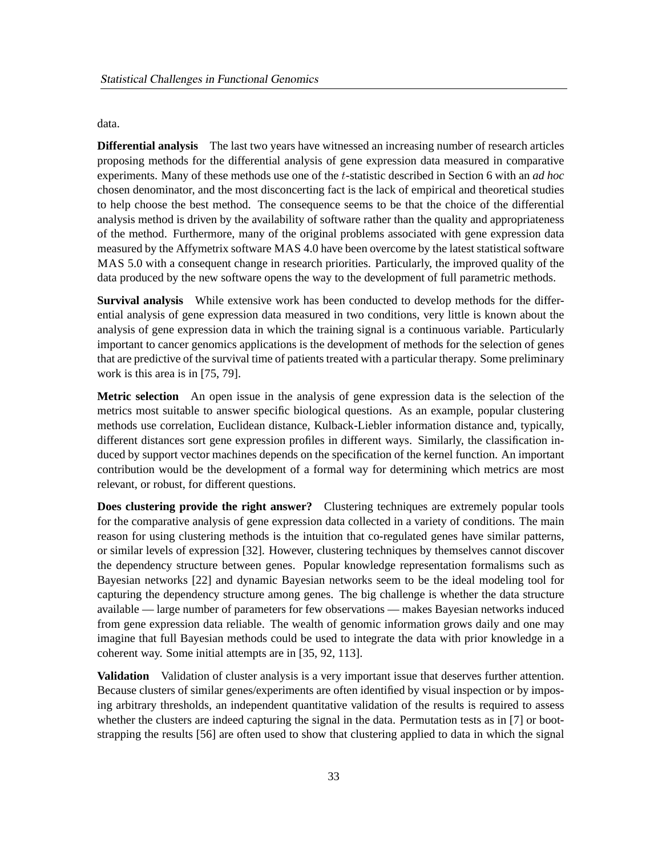## data.

**Differential analysis** The last two years have witnessed an increasing number of research articles proposing methods for the differential analysis of gene expression data measured in comparative experiments. Many of these methods use one of the t-statistic described in Section 6 with an *ad hoc* chosen denominator, and the most disconcerting fact is the lack of empirical and theoretical studies to help choose the best method. The consequence seems to be that the choice of the differential analysis method is driven by the availability of software rather than the quality and appropriateness of the method. Furthermore, many of the original problems associated with gene expression data measured by the Affymetrix software MAS 4.0 have been overcome by the latest statistical software MAS 5.0 with a consequent change in research priorities. Particularly, the improved quality of the data produced by the new software opens the way to the development of full parametric methods.

**Survival analysis** While extensive work has been conducted to develop methods for the differential analysis of gene expression data measured in two conditions, very little is known about the analysis of gene expression data in which the training signal is a continuous variable. Particularly important to cancer genomics applications is the development of methods for the selection of genes that are predictive of the survival time of patients treated with a particular therapy. Some preliminary work is this area is in [75, 79].

**Metric selection** An open issue in the analysis of gene expression data is the selection of the metrics most suitable to answer specific biological questions. As an example, popular clustering methods use correlation, Euclidean distance, Kulback-Liebler information distance and, typically, different distances sort gene expression profiles in different ways. Similarly, the classification induced by support vector machines depends on the specification of the kernel function. An important contribution would be the development of a formal way for determining which metrics are most relevant, or robust, for different questions.

**Does clustering provide the right answer?** Clustering techniques are extremely popular tools for the comparative analysis of gene expression data collected in a variety of conditions. The main reason for using clustering methods is the intuition that co-regulated genes have similar patterns, or similar levels of expression [32]. However, clustering techniques by themselves cannot discover the dependency structure between genes. Popular knowledge representation formalisms such as Bayesian networks [22] and dynamic Bayesian networks seem to be the ideal modeling tool for capturing the dependency structure among genes. The big challenge is whether the data structure available — large number of parameters for few observations — makes Bayesian networks induced from gene expression data reliable. The wealth of genomic information grows daily and one may imagine that full Bayesian methods could be used to integrate the data with prior knowledge in a coherent way. Some initial attempts are in [35, 92, 113].

**Validation** Validation of cluster analysis is a very important issue that deserves further attention. Because clusters of similar genes/experiments are often identified by visual inspection or by imposing arbitrary thresholds, an independent quantitative validation of the results is required to assess whether the clusters are indeed capturing the signal in the data. Permutation tests as in [7] or bootstrapping the results [56] are often used to show that clustering applied to data in which the signal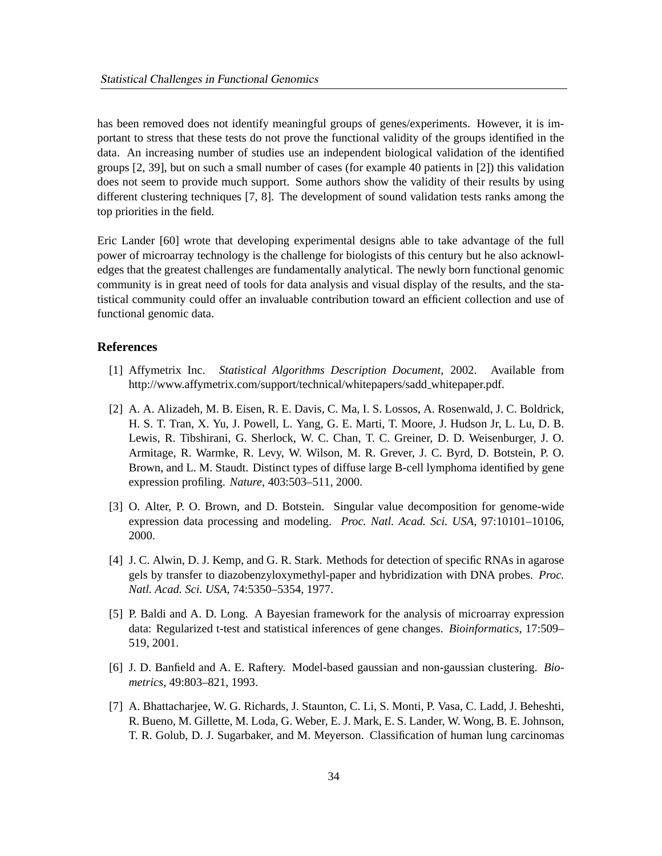has been removed does not identify meaningful groups of genes/experiments. However, it is important to stress that these tests do not prove the functional validity of the groups identified in the data. An increasing number of studies use an independent biological validation of the identified groups [2, 39], but on such a small number of cases (for example 40 patients in [2]) this validation does not seem to provide much support. Some authors show the validity of their results by using different clustering techniques [7, 8]. The development of sound validation tests ranks among the top priorities in the field.

Eric Lander [60] wrote that developing experimental designs able to take advantage of the full power of microarray technology is the challenge for biologists of this century but he also acknowledges that the greatest challenges are fundamentally analytical. The newly born functional genomic community is in great need of tools for data analysis and visual display of the results, and the statistical community could offer an invaluable contribution toward an efficient collection and use of functional genomic data.

## **References**

- [1] Affymetrix Inc. *Statistical Algorithms Description Document*, 2002. Available from http://www.affymetrix.com/support/technical/whitepapers/sadd whitepaper.pdf.
- [2] A. A. Alizadeh, M. B. Eisen, R. E. Davis, C. Ma, I. S. Lossos, A. Rosenwald, J. C. Boldrick, H. S. T. Tran, X. Yu, J. Powell, L. Yang, G. E. Marti, T. Moore, J. Hudson Jr, L. Lu, D. B. Lewis, R. Tibshirani, G. Sherlock, W. C. Chan, T. C. Greiner, D. D. Weisenburger, J. O. Armitage, R. Warmke, R. Levy, W. Wilson, M. R. Grever, J. C. Byrd, D. Botstein, P. O. Brown, and L. M. Staudt. Distinct types of diffuse large B-cell lymphoma identified by gene expression profiling. *Nature*, 403:503–511, 2000.
- [3] O. Alter, P. O. Brown, and D. Botstein. Singular value decomposition for genome-wide expression data processing and modeling. *Proc. Natl. Acad. Sci. USA*, 97:10101–10106, 2000.
- [4] J. C. Alwin, D. J. Kemp, and G. R. Stark. Methods for detection of specific RNAs in agarose gels by transfer to diazobenzyloxymethyl-paper and hybridization with DNA probes. *Proc. Natl. Acad. Sci. USA*, 74:5350–5354, 1977.
- [5] P. Baldi and A. D. Long. A Bayesian framework for the analysis of microarray expression data: Regularized t-test and statistical inferences of gene changes. *Bioinformatics*, 17:509– 519, 2001.
- [6] J. D. Banfield and A. E. Raftery. Model-based gaussian and non-gaussian clustering. *Biometrics*, 49:803–821, 1993.
- [7] A. Bhattacharjee, W. G. Richards, J. Staunton, C. Li, S. Monti, P. Vasa, C. Ladd, J. Beheshti, R. Bueno, M. Gillette, M. Loda, G. Weber, E. J. Mark, E. S. Lander, W. Wong, B. E. Johnson, T. R. Golub, D. J. Sugarbaker, and M. Meyerson. Classification of human lung carcinomas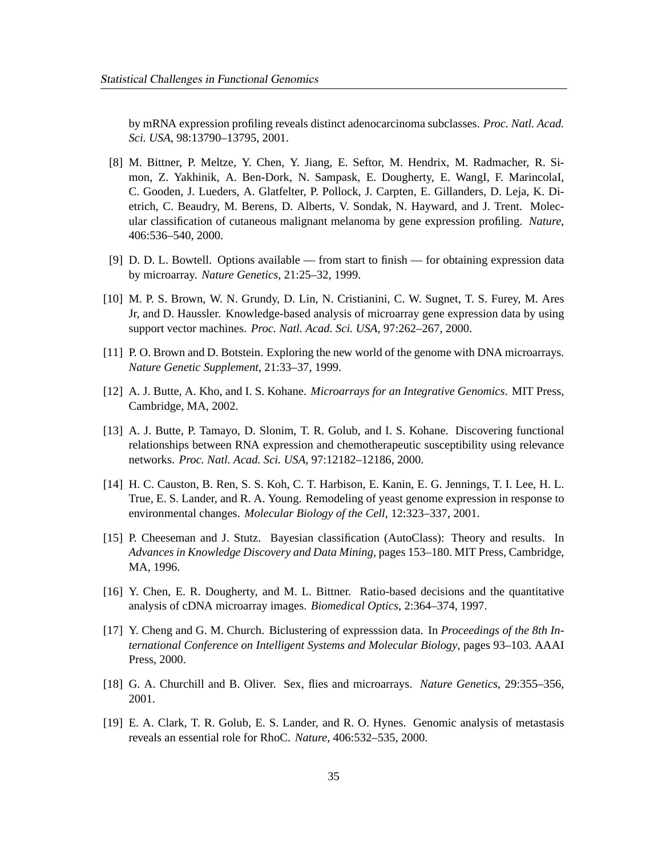by mRNA expression profiling reveals distinct adenocarcinoma subclasses. *Proc. Natl. Acad. Sci. USA*, 98:13790–13795, 2001.

- [8] M. Bittner, P. Meltze, Y. Chen, Y. Jiang, E. Seftor, M. Hendrix, M. Radmacher, R. Simon, Z. Yakhinik, A. Ben-Dork, N. Sampask, E. Dougherty, E. WangI, F. MarincolaI, C. Gooden, J. Lueders, A. Glatfelter, P. Pollock, J. Carpten, E. Gillanders, D. Leja, K. Dietrich, C. Beaudry, M. Berens, D. Alberts, V. Sondak, N. Hayward, and J. Trent. Molecular classification of cutaneous malignant melanoma by gene expression profiling. *Nature*, 406:536–540, 2000.
- [9] D. D. L. Bowtell. Options available from start to finish for obtaining expression data by microarray. *Nature Genetics*, 21:25–32, 1999.
- [10] M. P. S. Brown, W. N. Grundy, D. Lin, N. Cristianini, C. W. Sugnet, T. S. Furey, M. Ares Jr, and D. Haussler. Knowledge-based analysis of microarray gene expression data by using support vector machines. *Proc. Natl. Acad. Sci. USA*, 97:262–267, 2000.
- [11] P. O. Brown and D. Botstein. Exploring the new world of the genome with DNA microarrays. *Nature Genetic Supplement*, 21:33–37, 1999.
- [12] A. J. Butte, A. Kho, and I. S. Kohane. *Microarrays for an Integrative Genomics*. MIT Press, Cambridge, MA, 2002.
- [13] A. J. Butte, P. Tamayo, D. Slonim, T. R. Golub, and I. S. Kohane. Discovering functional relationships between RNA expression and chemotherapeutic susceptibility using relevance networks. *Proc. Natl. Acad. Sci. USA*, 97:12182–12186, 2000.
- [14] H. C. Causton, B. Ren, S. S. Koh, C. T. Harbison, E. Kanin, E. G. Jennings, T. I. Lee, H. L. True, E. S. Lander, and R. A. Young. Remodeling of yeast genome expression in response to environmental changes. *Molecular Biology of the Cell*, 12:323–337, 2001.
- [15] P. Cheeseman and J. Stutz. Bayesian classification (AutoClass): Theory and results. In *Advances in Knowledge Discovery and Data Mining*, pages 153–180. MIT Press, Cambridge, MA, 1996.
- [16] Y. Chen, E. R. Dougherty, and M. L. Bittner. Ratio-based decisions and the quantitative analysis of cDNA microarray images. *Biomedical Optics*, 2:364–374, 1997.
- [17] Y. Cheng and G. M. Church. Biclustering of expresssion data. In *Proceedings of the 8th International Conference on Intelligent Systems and Molecular Biology*, pages 93–103. AAAI Press, 2000.
- [18] G. A. Churchill and B. Oliver. Sex, flies and microarrays. *Nature Genetics*, 29:355–356, 2001.
- [19] E. A. Clark, T. R. Golub, E. S. Lander, and R. O. Hynes. Genomic analysis of metastasis reveals an essential role for RhoC. *Nature*, 406:532–535, 2000.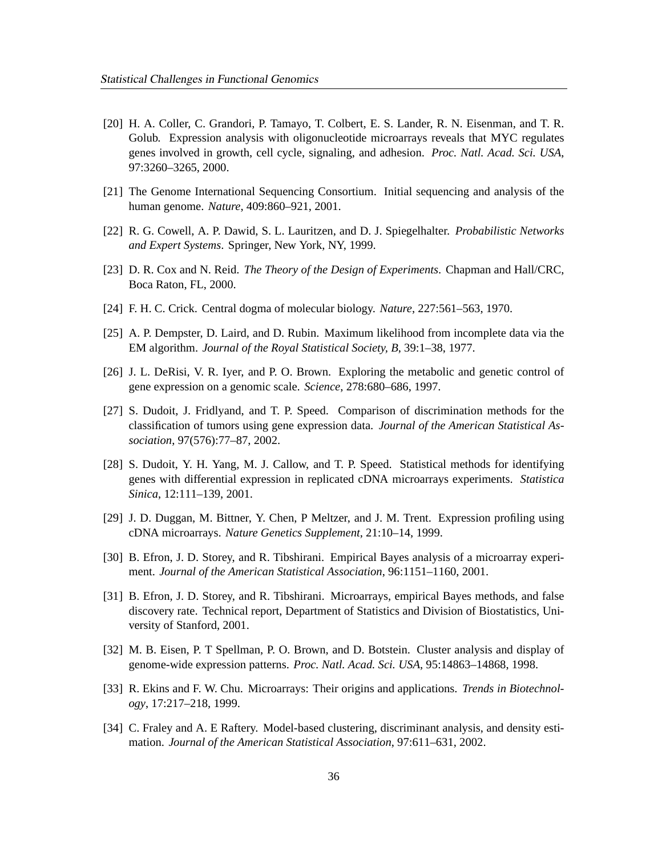- [20] H. A. Coller, C. Grandori, P. Tamayo, T. Colbert, E. S. Lander, R. N. Eisenman, and T. R. Golub. Expression analysis with oligonucleotide microarrays reveals that MYC regulates genes involved in growth, cell cycle, signaling, and adhesion. *Proc. Natl. Acad. Sci. USA*, 97:3260–3265, 2000.
- [21] The Genome International Sequencing Consortium. Initial sequencing and analysis of the human genome. *Nature*, 409:860–921, 2001.
- [22] R. G. Cowell, A. P. Dawid, S. L. Lauritzen, and D. J. Spiegelhalter. *Probabilistic Networks and Expert Systems*. Springer, New York, NY, 1999.
- [23] D. R. Cox and N. Reid. *The Theory of the Design of Experiments*. Chapman and Hall/CRC, Boca Raton, FL, 2000.
- [24] F. H. C. Crick. Central dogma of molecular biology. *Nature*, 227:561–563, 1970.
- [25] A. P. Dempster, D. Laird, and D. Rubin. Maximum likelihood from incomplete data via the EM algorithm. *Journal of the Royal Statistical Society, B*, 39:1–38, 1977.
- [26] J. L. DeRisi, V. R. Iyer, and P. O. Brown. Exploring the metabolic and genetic control of gene expression on a genomic scale. *Science*, 278:680–686, 1997.
- [27] S. Dudoit, J. Fridlyand, and T. P. Speed. Comparison of discrimination methods for the classification of tumors using gene expression data. *Journal of the American Statistical Association*, 97(576):77–87, 2002.
- [28] S. Dudoit, Y. H. Yang, M. J. Callow, and T. P. Speed. Statistical methods for identifying genes with differential expression in replicated cDNA microarrays experiments. *Statistica Sinica*, 12:111–139, 2001.
- [29] J. D. Duggan, M. Bittner, Y. Chen, P Meltzer, and J. M. Trent. Expression profiling using cDNA microarrays. *Nature Genetics Supplement*, 21:10–14, 1999.
- [30] B. Efron, J. D. Storey, and R. Tibshirani. Empirical Bayes analysis of a microarray experiment. *Journal of the American Statistical Association*, 96:1151–1160, 2001.
- [31] B. Efron, J. D. Storey, and R. Tibshirani. Microarrays, empirical Bayes methods, and false discovery rate. Technical report, Department of Statistics and Division of Biostatistics, University of Stanford, 2001.
- [32] M. B. Eisen, P. T Spellman, P. O. Brown, and D. Botstein. Cluster analysis and display of genome-wide expression patterns. *Proc. Natl. Acad. Sci. USA*, 95:14863–14868, 1998.
- [33] R. Ekins and F. W. Chu. Microarrays: Their origins and applications. *Trends in Biotechnology*, 17:217–218, 1999.
- [34] C. Fraley and A. E Raftery. Model-based clustering, discriminant analysis, and density estimation. *Journal of the American Statistical Association*, 97:611–631, 2002.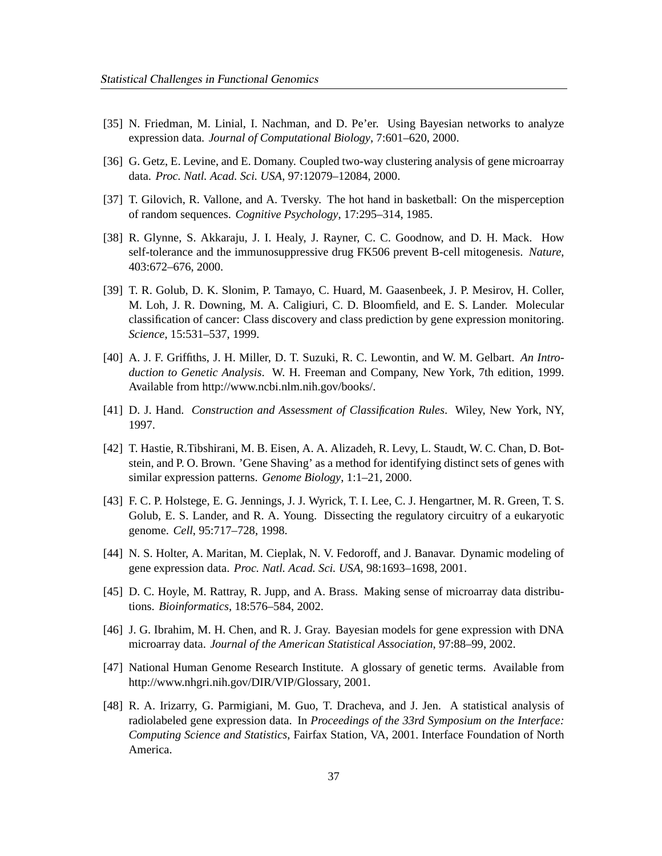- [35] N. Friedman, M. Linial, I. Nachman, and D. Pe'er. Using Bayesian networks to analyze expression data. *Journal of Computational Biology*, 7:601–620, 2000.
- [36] G. Getz, E. Levine, and E. Domany. Coupled two-way clustering analysis of gene microarray data. *Proc. Natl. Acad. Sci. USA*, 97:12079–12084, 2000.
- [37] T. Gilovich, R. Vallone, and A. Tversky. The hot hand in basketball: On the misperception of random sequences. *Cognitive Psychology*, 17:295–314, 1985.
- [38] R. Glynne, S. Akkaraju, J. I. Healy, J. Rayner, C. C. Goodnow, and D. H. Mack. How self-tolerance and the immunosuppressive drug FK506 prevent B-cell mitogenesis. *Nature*, 403:672–676, 2000.
- [39] T. R. Golub, D. K. Slonim, P. Tamayo, C. Huard, M. Gaasenbeek, J. P. Mesirov, H. Coller, M. Loh, J. R. Downing, M. A. Caligiuri, C. D. Bloomfield, and E. S. Lander. Molecular classification of cancer: Class discovery and class prediction by gene expression monitoring. *Science*, 15:531–537, 1999.
- [40] A. J. F. Griffiths, J. H. Miller, D. T. Suzuki, R. C. Lewontin, and W. M. Gelbart. *An Introduction to Genetic Analysis*. W. H. Freeman and Company, New York, 7th edition, 1999. Available from http://www.ncbi.nlm.nih.gov/books/.
- [41] D. J. Hand. *Construction and Assessment of Classification Rules*. Wiley, New York, NY, 1997.
- [42] T. Hastie, R.Tibshirani, M. B. Eisen, A. A. Alizadeh, R. Levy, L. Staudt, W. C. Chan, D. Botstein, and P. O. Brown. 'Gene Shaving' as a method for identifying distinct sets of genes with similar expression patterns. *Genome Biology*, 1:1–21, 2000.
- [43] F. C. P. Holstege, E. G. Jennings, J. J. Wyrick, T. I. Lee, C. J. Hengartner, M. R. Green, T. S. Golub, E. S. Lander, and R. A. Young. Dissecting the regulatory circuitry of a eukaryotic genome. *Cell*, 95:717–728, 1998.
- [44] N. S. Holter, A. Maritan, M. Cieplak, N. V. Fedoroff, and J. Banavar. Dynamic modeling of gene expression data. *Proc. Natl. Acad. Sci. USA*, 98:1693–1698, 2001.
- [45] D. C. Hoyle, M. Rattray, R. Jupp, and A. Brass. Making sense of microarray data distributions. *Bioinformatics*, 18:576–584, 2002.
- [46] J. G. Ibrahim, M. H. Chen, and R. J. Gray. Bayesian models for gene expression with DNA microarray data. *Journal of the American Statistical Association*, 97:88–99, 2002.
- [47] National Human Genome Research Institute. A glossary of genetic terms. Available from http://www.nhgri.nih.gov/DIR/VIP/Glossary, 2001.
- [48] R. A. Irizarry, G. Parmigiani, M. Guo, T. Dracheva, and J. Jen. A statistical analysis of radiolabeled gene expression data. In *Proceedings of the 33rd Symposium on the Interface: Computing Science and Statistics*, Fairfax Station, VA, 2001. Interface Foundation of North America.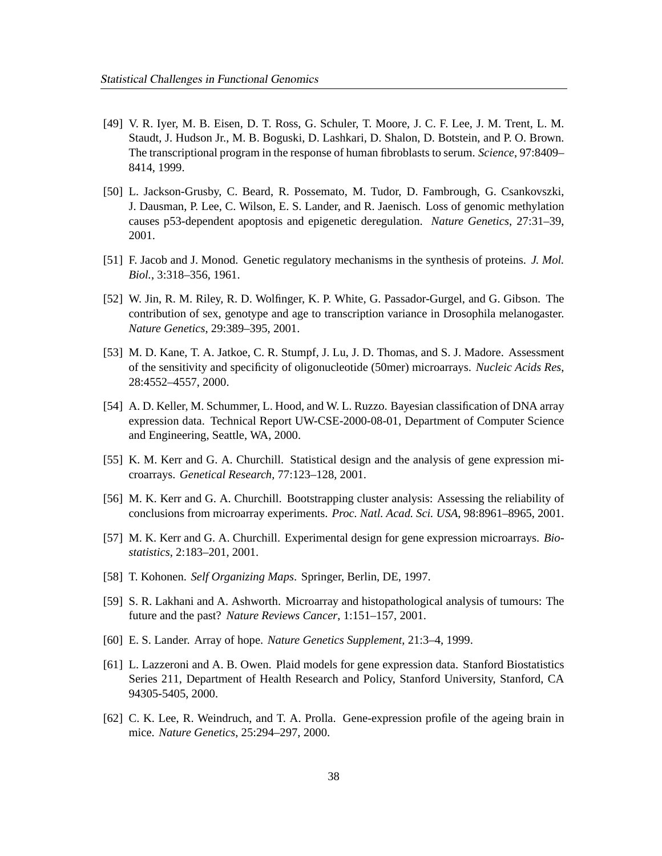- [49] V. R. Iyer, M. B. Eisen, D. T. Ross, G. Schuler, T. Moore, J. C. F. Lee, J. M. Trent, L. M. Staudt, J. Hudson Jr., M. B. Boguski, D. Lashkari, D. Shalon, D. Botstein, and P. O. Brown. The transcriptional program in the response of human fibroblasts to serum. *Science*, 97:8409– 8414, 1999.
- [50] L. Jackson-Grusby, C. Beard, R. Possemato, M. Tudor, D. Fambrough, G. Csankovszki, J. Dausman, P. Lee, C. Wilson, E. S. Lander, and R. Jaenisch. Loss of genomic methylation causes p53-dependent apoptosis and epigenetic deregulation. *Nature Genetics*, 27:31–39, 2001.
- [51] F. Jacob and J. Monod. Genetic regulatory mechanisms in the synthesis of proteins. *J. Mol. Biol.*, 3:318–356, 1961.
- [52] W. Jin, R. M. Riley, R. D. Wolfinger, K. P. White, G. Passador-Gurgel, and G. Gibson. The contribution of sex, genotype and age to transcription variance in Drosophila melanogaster. *Nature Genetics*, 29:389–395, 2001.
- [53] M. D. Kane, T. A. Jatkoe, C. R. Stumpf, J. Lu, J. D. Thomas, and S. J. Madore. Assessment of the sensitivity and specificity of oligonucleotide (50mer) microarrays. *Nucleic Acids Res*, 28:4552–4557, 2000.
- [54] A. D. Keller, M. Schummer, L. Hood, and W. L. Ruzzo. Bayesian classification of DNA array expression data. Technical Report UW-CSE-2000-08-01, Department of Computer Science and Engineering, Seattle, WA, 2000.
- [55] K. M. Kerr and G. A. Churchill. Statistical design and the analysis of gene expression microarrays. *Genetical Research*, 77:123–128, 2001.
- [56] M. K. Kerr and G. A. Churchill. Bootstrapping cluster analysis: Assessing the reliability of conclusions from microarray experiments. *Proc. Natl. Acad. Sci. USA*, 98:8961–8965, 2001.
- [57] M. K. Kerr and G. A. Churchill. Experimental design for gene expression microarrays. *Biostatistics*, 2:183–201, 2001.
- [58] T. Kohonen. *Self Organizing Maps*. Springer, Berlin, DE, 1997.
- [59] S. R. Lakhani and A. Ashworth. Microarray and histopathological analysis of tumours: The future and the past? *Nature Reviews Cancer*, 1:151–157, 2001.
- [60] E. S. Lander. Array of hope. *Nature Genetics Supplement*, 21:3–4, 1999.
- [61] L. Lazzeroni and A. B. Owen. Plaid models for gene expression data. Stanford Biostatistics Series 211, Department of Health Research and Policy, Stanford University, Stanford, CA 94305-5405, 2000.
- [62] C. K. Lee, R. Weindruch, and T. A. Prolla. Gene-expression profile of the ageing brain in mice. *Nature Genetics*, 25:294–297, 2000.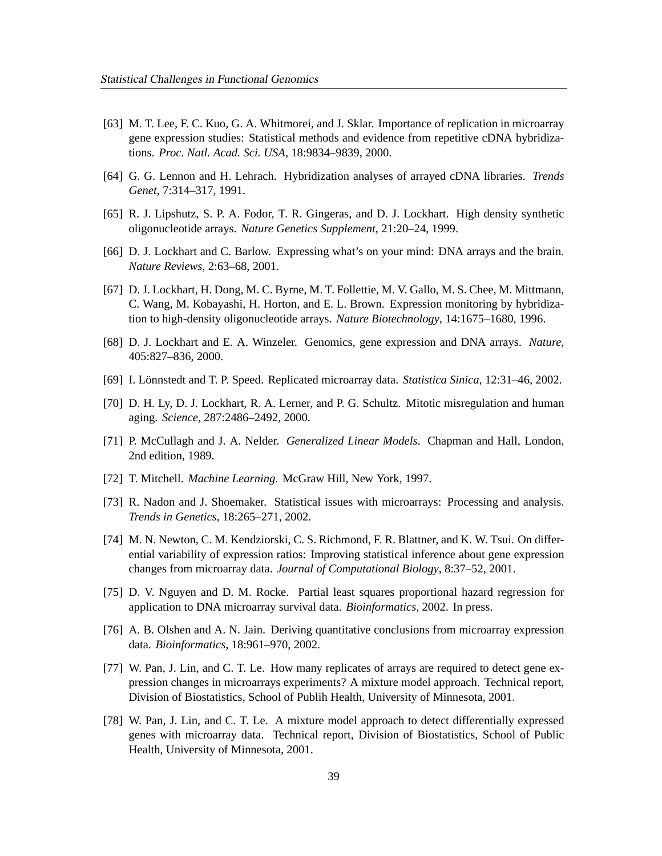- [63] M. T. Lee, F. C. Kuo, G. A. Whitmorei, and J. Sklar. Importance of replication in microarray gene expression studies: Statistical methods and evidence from repetitive cDNA hybridizations. *Proc. Natl. Acad. Sci. USA*, 18:9834–9839, 2000.
- [64] G. G. Lennon and H. Lehrach. Hybridization analyses of arrayed cDNA libraries. *Trends Genet*, 7:314–317, 1991.
- [65] R. J. Lipshutz, S. P. A. Fodor, T. R. Gingeras, and D. J. Lockhart. High density synthetic oligonucleotide arrays. *Nature Genetics Supplement*, 21:20–24, 1999.
- [66] D. J. Lockhart and C. Barlow. Expressing what's on your mind: DNA arrays and the brain. *Nature Reviews*, 2:63–68, 2001.
- [67] D. J. Lockhart, H. Dong, M. C. Byrne, M. T. Follettie, M. V. Gallo, M. S. Chee, M. Mittmann, C. Wang, M. Kobayashi, H. Horton, and E. L. Brown. Expression monitoring by hybridization to high-density oligonucleotide arrays. *Nature Biotechnology*, 14:1675–1680, 1996.
- [68] D. J. Lockhart and E. A. Winzeler. Genomics, gene expression and DNA arrays. *Nature*, 405:827–836, 2000.
- [69] I. Lönnstedt and T. P. Speed. Replicated microarray data. *Statistica Sinica*, 12:31–46, 2002.
- [70] D. H. Ly, D. J. Lockhart, R. A. Lerner, and P. G. Schultz. Mitotic misregulation and human aging. *Science*, 287:2486–2492, 2000.
- [71] P. McCullagh and J. A. Nelder. *Generalized Linear Models*. Chapman and Hall, London, 2nd edition, 1989.
- [72] T. Mitchell. *Machine Learning*. McGraw Hill, New York, 1997.
- [73] R. Nadon and J. Shoemaker. Statistical issues with microarrays: Processing and analysis. *Trends in Genetics*, 18:265–271, 2002.
- [74] M. N. Newton, C. M. Kendziorski, C. S. Richmond, F. R. Blattner, and K. W. Tsui. On differential variability of expression ratios: Improving statistical inference about gene expression changes from microarray data. *Journal of Computational Biology*, 8:37–52, 2001.
- [75] D. V. Nguyen and D. M. Rocke. Partial least squares proportional hazard regression for application to DNA microarray survival data. *Bioinformatics*, 2002. In press.
- [76] A. B. Olshen and A. N. Jain. Deriving quantitative conclusions from microarray expression data. *Bioinformatics*, 18:961–970, 2002.
- [77] W. Pan, J. Lin, and C. T. Le. How many replicates of arrays are required to detect gene expression changes in microarrays experiments? A mixture model approach. Technical report, Division of Biostatistics, School of Publih Health, University of Minnesota, 2001.
- [78] W. Pan, J. Lin, and C. T. Le. A mixture model approach to detect differentially expressed genes with microarray data. Technical report, Division of Biostatistics, School of Public Health, University of Minnesota, 2001.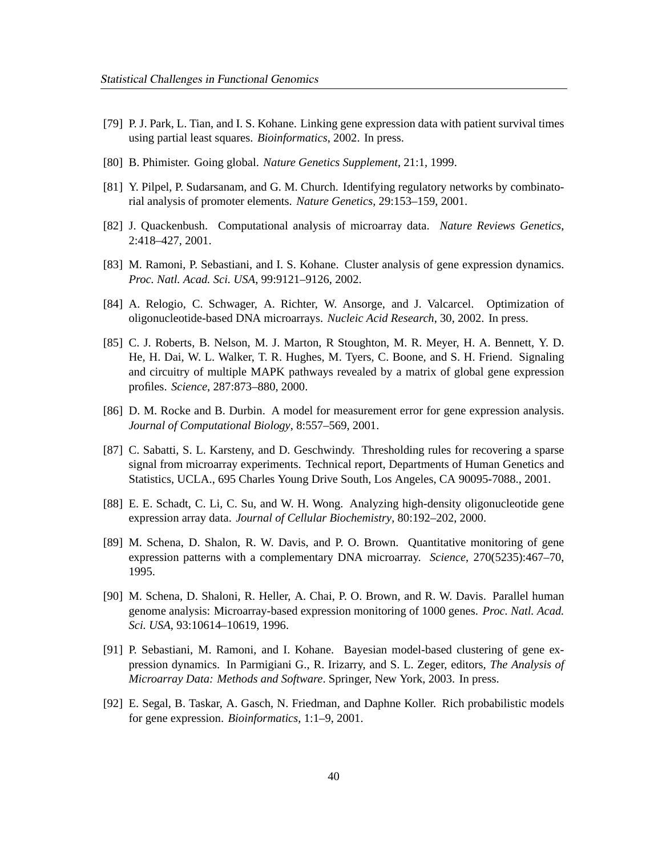- [79] P. J. Park, L. Tian, and I. S. Kohane. Linking gene expression data with patient survival times using partial least squares. *Bioinformatics*, 2002. In press.
- [80] B. Phimister. Going global. *Nature Genetics Supplement*, 21:1, 1999.
- [81] Y. Pilpel, P. Sudarsanam, and G. M. Church. Identifying regulatory networks by combinatorial analysis of promoter elements. *Nature Genetics*, 29:153–159, 2001.
- [82] J. Quackenbush. Computational analysis of microarray data. *Nature Reviews Genetics*, 2:418–427, 2001.
- [83] M. Ramoni, P. Sebastiani, and I. S. Kohane. Cluster analysis of gene expression dynamics. *Proc. Natl. Acad. Sci. USA*, 99:9121–9126, 2002.
- [84] A. Relogio, C. Schwager, A. Richter, W. Ansorge, and J. Valcarcel. Optimization of oligonucleotide-based DNA microarrays. *Nucleic Acid Research*, 30, 2002. In press.
- [85] C. J. Roberts, B. Nelson, M. J. Marton, R Stoughton, M. R. Meyer, H. A. Bennett, Y. D. He, H. Dai, W. L. Walker, T. R. Hughes, M. Tyers, C. Boone, and S. H. Friend. Signaling and circuitry of multiple MAPK pathways revealed by a matrix of global gene expression profiles. *Science*, 287:873–880, 2000.
- [86] D. M. Rocke and B. Durbin. A model for measurement error for gene expression analysis. *Journal of Computational Biology*, 8:557–569, 2001.
- [87] C. Sabatti, S. L. Karsteny, and D. Geschwindy. Thresholding rules for recovering a sparse signal from microarray experiments. Technical report, Departments of Human Genetics and Statistics, UCLA., 695 Charles Young Drive South, Los Angeles, CA 90095-7088., 2001.
- [88] E. E. Schadt, C. Li, C. Su, and W. H. Wong. Analyzing high-density oligonucleotide gene expression array data. *Journal of Cellular Biochemistry*, 80:192–202, 2000.
- [89] M. Schena, D. Shalon, R. W. Davis, and P. O. Brown. Quantitative monitoring of gene expression patterns with a complementary DNA microarray. *Science*, 270(5235):467–70, 1995.
- [90] M. Schena, D. Shaloni, R. Heller, A. Chai, P. O. Brown, and R. W. Davis. Parallel human genome analysis: Microarray-based expression monitoring of 1000 genes. *Proc. Natl. Acad. Sci. USA*, 93:10614–10619, 1996.
- [91] P. Sebastiani, M. Ramoni, and I. Kohane. Bayesian model-based clustering of gene expression dynamics. In Parmigiani G., R. Irizarry, and S. L. Zeger, editors, *The Analysis of Microarray Data: Methods and Software*. Springer, New York, 2003. In press.
- [92] E. Segal, B. Taskar, A. Gasch, N. Friedman, and Daphne Koller. Rich probabilistic models for gene expression. *Bioinformatics*, 1:1–9, 2001.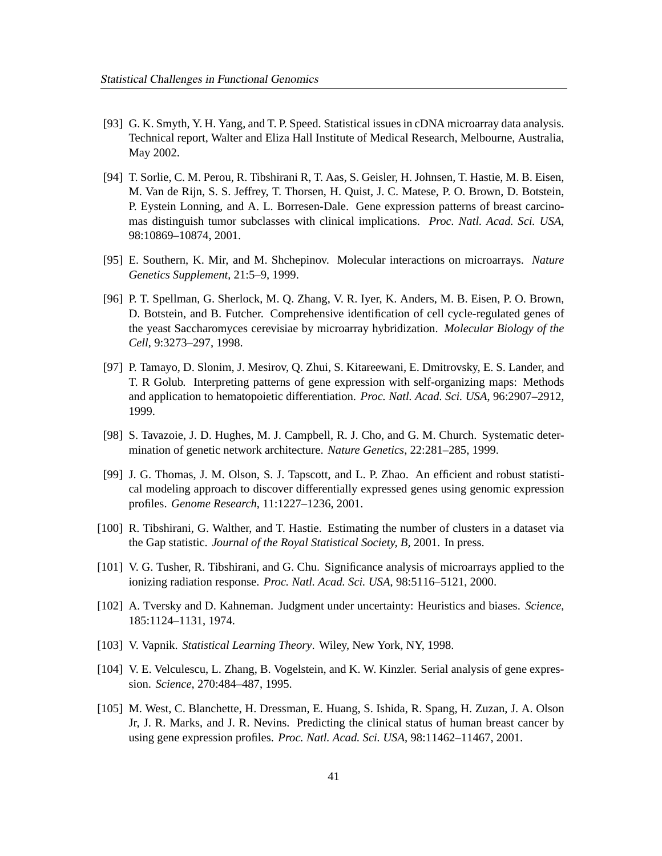- [93] G. K. Smyth, Y. H. Yang, and T. P. Speed. Statistical issues in cDNA microarray data analysis. Technical report, Walter and Eliza Hall Institute of Medical Research, Melbourne, Australia, May 2002.
- [94] T. Sorlie, C. M. Perou, R. Tibshirani R, T. Aas, S. Geisler, H. Johnsen, T. Hastie, M. B. Eisen, M. Van de Rijn, S. S. Jeffrey, T. Thorsen, H. Quist, J. C. Matese, P. O. Brown, D. Botstein, P. Eystein Lonning, and A. L. Borresen-Dale. Gene expression patterns of breast carcinomas distinguish tumor subclasses with clinical implications. *Proc. Natl. Acad. Sci. USA*, 98:10869–10874, 2001.
- [95] E. Southern, K. Mir, and M. Shchepinov. Molecular interactions on microarrays. *Nature Genetics Supplement*, 21:5–9, 1999.
- [96] P. T. Spellman, G. Sherlock, M. Q. Zhang, V. R. Iyer, K. Anders, M. B. Eisen, P. O. Brown, D. Botstein, and B. Futcher. Comprehensive identification of cell cycle-regulated genes of the yeast Saccharomyces cerevisiae by microarray hybridization. *Molecular Biology of the Cell*, 9:3273–297, 1998.
- [97] P. Tamayo, D. Slonim, J. Mesirov, Q. Zhui, S. Kitareewani, E. Dmitrovsky, E. S. Lander, and T. R Golub. Interpreting patterns of gene expression with self-organizing maps: Methods and application to hematopoietic differentiation. *Proc. Natl. Acad. Sci. USA*, 96:2907–2912, 1999.
- [98] S. Tavazoie, J. D. Hughes, M. J. Campbell, R. J. Cho, and G. M. Church. Systematic determination of genetic network architecture. *Nature Genetics*, 22:281–285, 1999.
- [99] J. G. Thomas, J. M. Olson, S. J. Tapscott, and L. P. Zhao. An efficient and robust statistical modeling approach to discover differentially expressed genes using genomic expression profiles. *Genome Research*, 11:1227–1236, 2001.
- [100] R. Tibshirani, G. Walther, and T. Hastie. Estimating the number of clusters in a dataset via the Gap statistic. *Journal of the Royal Statistical Society, B*, 2001. In press.
- [101] V. G. Tusher, R. Tibshirani, and G. Chu. Significance analysis of microarrays applied to the ionizing radiation response. *Proc. Natl. Acad. Sci. USA*, 98:5116–5121, 2000.
- [102] A. Tversky and D. Kahneman. Judgment under uncertainty: Heuristics and biases. *Science*, 185:1124–1131, 1974.
- [103] V. Vapnik. *Statistical Learning Theory*. Wiley, New York, NY, 1998.
- [104] V. E. Velculescu, L. Zhang, B. Vogelstein, and K. W. Kinzler. Serial analysis of gene expression. *Science*, 270:484–487, 1995.
- [105] M. West, C. Blanchette, H. Dressman, E. Huang, S. Ishida, R. Spang, H. Zuzan, J. A. Olson Jr, J. R. Marks, and J. R. Nevins. Predicting the clinical status of human breast cancer by using gene expression profiles. *Proc. Natl. Acad. Sci. USA*, 98:11462–11467, 2001.